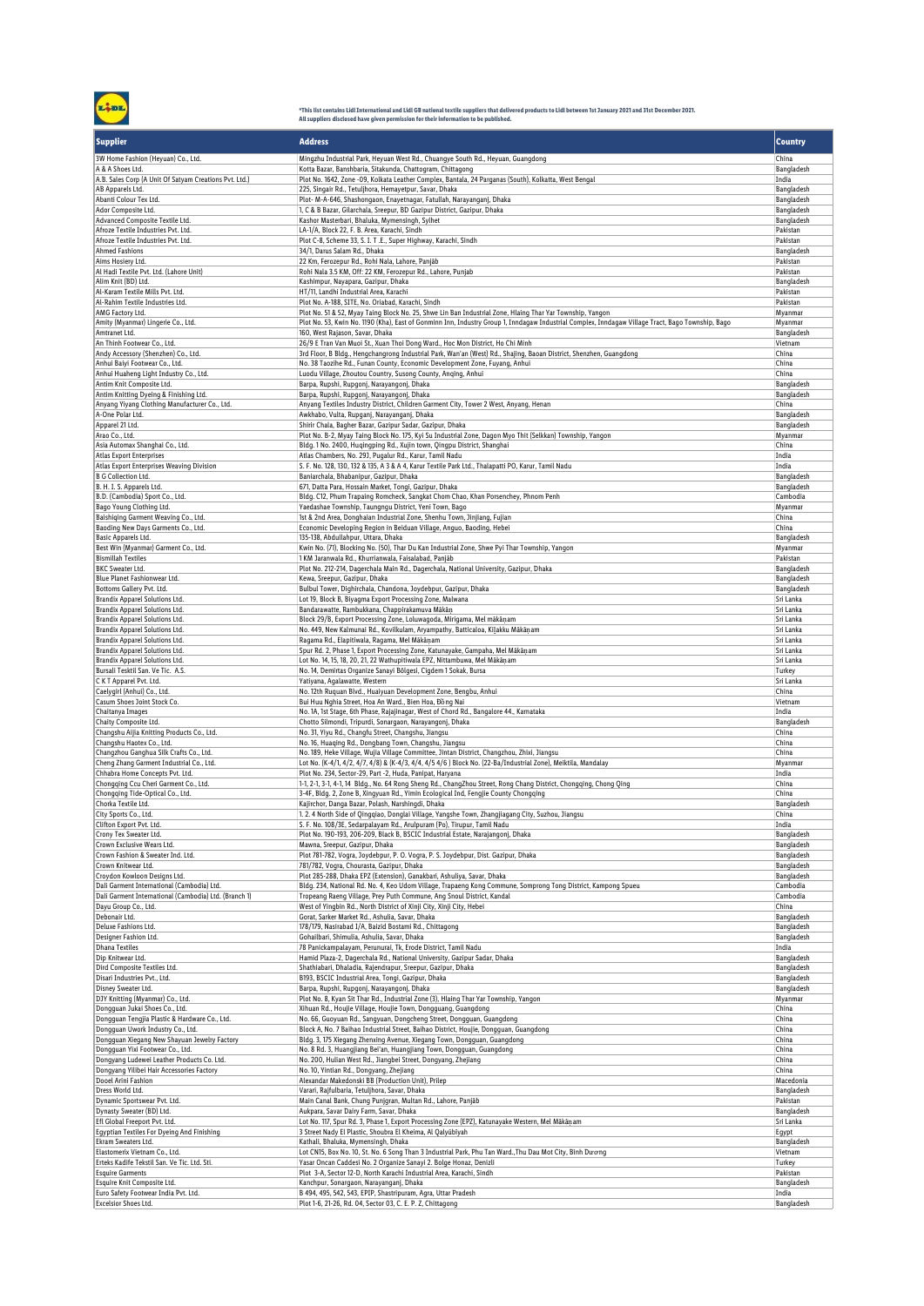

\*This list contains Lidl International and Lidl GB national textile suppliers that delivered products to Lidl between 1st January 2021 and 31st December 2021.<br>All suppliers disclosed have given permission for their informa

| <b>Supplier</b>                                                                                     | <b>Address</b>                                                                                                                                                                                             | <b>Country</b>           |
|-----------------------------------------------------------------------------------------------------|------------------------------------------------------------------------------------------------------------------------------------------------------------------------------------------------------------|--------------------------|
| 3W Home Fashion (Heyuan) Co., Ltd.<br>A & A Shoes Ltd.                                              | Mingzhu Industrial Park, Heyuan West Rd., Chuangye South Rd., Heyuan, Guangdong<br>Kotta Bazar, Banshbaria, Sitakunda, Chattogram, Chittagong                                                              | China<br>Bangladesh      |
| A.B. Sales Corp (A Unit Of Satyam Creations Pvt. Ltd.)                                              | Plot No. 1642, Zone -09, Kolkata Leather Complex, Bantala, 24 Parganas (South), Kolkatta, West Bengal                                                                                                      | India                    |
| AB Apparels Ltd.                                                                                    | 225, Singair Rd., Tetuljhora, Hemayetpur, Savar, Dhaka                                                                                                                                                     | Bangladesh               |
| Abanti Colour Tex Ltd.<br>Ador Composite Ltd.                                                       | Plot- M-A-646, Shashongaon, Enayetnagar, Fatullah, Narayanganj, Dhaka<br>1, C & B Bazar, Gilarchala, Sreepur, BD Gazipur District, Gazipur, Dhaka                                                          | Bangladesh<br>Bangladesh |
| Advanced Composite Textile Ltd.                                                                     | Kashor Masterbari, Bhaluka, Mymensingh, Sylhet                                                                                                                                                             | Bangladesh               |
| Afroze Textile Industries Pvt. Ltd.                                                                 | LA-1/A, Block 22, F. B. Area, Karachi, Sindh                                                                                                                                                               | Pakistan                 |
| Afroze Textile Industries Pvt. Ltd.<br>Ahmed Fashions                                               | Plot C-8, Scheme 33, S. I. T.E., Super Highway, Karachi, Sindh<br>34/1, Darus Salam Rd., Dhaka                                                                                                             | Pakistan<br>Bangladesh   |
| Aims Hosiery Ltd.                                                                                   | 22 Km, Ferozepur Rd., Rohi Nala, Lahore, Panjāb                                                                                                                                                            | Pakistan                 |
| Al Hadi Textile Pvt. Ltd. (Lahore Unit)                                                             | Rohi Nala 3.5 KM, Off: 22 KM, Ferozepur Rd., Lahore, Punjab                                                                                                                                                | Pakistan                 |
| Alim Knit (BD) Ltd.<br>Al-Karam Textile Mills Pvt. Ltd.                                             | Kashimpur, Nayapara, Gazipur, Dhaka<br>HT/11. Landhi Industrial Area. Karachi                                                                                                                              | Bangladesh<br>Pakistan   |
| Al-Rahim Textile Industries Ltd.                                                                    | Plot No. A-188, SITE, No. Oriabad, Karachi, Sindh                                                                                                                                                          | Pakistan                 |
| AMG Factory Ltd.                                                                                    | Plot No. 51 & 52, Myay Taing Block No. 25, Shwe Lin Ban Industrial Zone, Hlaing Thar Yar Township, Yangon                                                                                                  | Myanmar                  |
| Amity (Myanmar) Lingerie Co., Ltd.<br>Amtranet Ltd.                                                 | Plot No. 53, Kwin No. 1190 (Kha), East of Gonminn Inn, Industry Group 1, Inndagaw Industrial Complex, Inndagaw Village Tract, Bago Township, Bago<br>160, West Rajason, Savar, Dhaka                       | Myanmar<br>Bangladesh    |
| An Thinh Footwear Co., Ltd.                                                                         | 26/9 E Tran Van Muoi St., Xuan Thoi Dong Ward., Hoc Mon District, Ho Chi Minh                                                                                                                              | Vietnam                  |
| Andy Accessory (Shenzhen) Co., Ltd.                                                                 | 3rd Floor, B Bldg., Hengchangrong Industrial Park, Wan'an (West) Rd., Shajing, Baoan District, Shenzhen, Guangdong                                                                                         | China                    |
| Anhui Baiyi Footwear Co., Ltd.<br>Anhui Huaheng Light Industry Co., Ltd.                            | No. 38 Taozihe Rd., Funan County, Economic Development Zone, Fuyang, Anhui<br>Luodu Village, Zhoutou Country, Susong County, Anging, Anhui                                                                 | China<br>China           |
| Antim Knit Composite Ltd.                                                                           | Barpa, Rupshi, Rupgonj, Narayangonj, Dhaka                                                                                                                                                                 | Bangladesh               |
| Antim Knitting Dyeing & Finishing Ltd.                                                              | Barpa, Rupshi, Rupgonj, Narayangonj, Dhaka                                                                                                                                                                 | Bangladesh               |
| Anyang Yiyang Clothing Manufacturer Co., Ltd.<br>A-One Polar Ltd.                                   | Anyang Textiles Industry District, Children Garment City, Tower 2 West, Anyang, Henan<br>Awkhabo, Vulta, Rupganj, Narayanganj, Dhaka                                                                       | China<br>Bangladesh      |
| Apparel 21 Ltd.                                                                                     | Shirir Chala, Bagher Bazar, Gazipur Sadar, Gazipur, Dhaka                                                                                                                                                  | Bangladesh               |
| Arao Co., Ltd.                                                                                      | Plot No. B-2, Myay Taing Block No. 175, Kyi Su Industrial Zone, Dagon Myo Thit (Selkkan) Township, Yangon                                                                                                  | Myanmar                  |
| Asia Automax Shanghai Co., Ltd.<br>Atlas Export Enterprises                                         | Bldg. 1 No. 2400, Huqingping Rd., Xujin town, Qingpu District, Shanghai<br>Atlas Chambers, No. 29J, Pugalur Rd., Karur, Tamil Nadu                                                                         | China<br>India           |
| Atlas Export Enterprises Weaving Division                                                           | S. F. No. 128, 130, 132 & 135, A 3 & A 4, Karur Textile Park Ltd., Thalapatti PO, Karur, Tamil Nadu                                                                                                        | India                    |
| B G Collection Ltd.                                                                                 | Baniarchala, Bhabanipur, Gazipur, Dhaka                                                                                                                                                                    | Bangladesh               |
| B. H. I. S. Apparels Ltd.                                                                           | 671, Datta Para, Hossain Market, Tongi, Gazipur, Dhaka                                                                                                                                                     | Bangladesh               |
| B.D. (Cambodia) Sport Co., Ltd.<br>Bago Young Clothing Ltd.                                         | Bldg. C12, Phum Trapaing Romcheck, Sangkat Chom Chao, Khan Porsenchey, Phnom Penh<br>Yaedashae Township, Taungngu District, Yeni Town, Bago                                                                | Cambodia<br>Myanmar      |
| Baishiging Garment Weaving Co., Ltd.                                                                | 1st & 2nd Area, Donghaian Industrial Zone, Shenhu Town, Jinjiang, Fujian                                                                                                                                   | China                    |
| Baoding New Days Garments Co., Ltd.                                                                 | Economic Developing Region in Beiduan Village, Anguo, Baoding, Hebei                                                                                                                                       | China                    |
| Basic Apparels Ltd.<br>Best Win (Myanmar) Garment Co., Ltd.                                         | 135-138, Abdullahpur, Uttara, Dhaka<br>Kwin No. (71), Blocking No. (50), Thar Du Kan Industrial Zone, Shwe Pyi Thar Township, Yangon                                                                       | Bangladesh<br>Myanmar    |
| <b>Bismillah Textiles</b>                                                                           | 1 KM Jaranwala Rd., Khurrianwala, Faisalabad, Panjāb                                                                                                                                                       | Pakistan                 |
| <b>BKC</b> Sweater Ltd.                                                                             | Plot No. 212-214, Dagerchala Main Rd., Dagerchala, National University, Gazipur, Dhaka                                                                                                                     | Bangladesh               |
| Blue Planet Fashionwear Ltd.<br>Bottoms Gallery Pvt. Ltd.                                           | Kewa, Sreepur, Gazipur, Dhaka<br>Bulbul Tower, Dighirchala, Chandona, Joydebpur, Gazipur, Dhaka                                                                                                            | Bangladesh               |
| Brandix Apparel Solutions Ltd.                                                                      | Lot 19, Block B, Biyagma Export Processing Zone, Malwana                                                                                                                                                   | Bangladesh<br>Sri Lanka  |
| Brandix Apparel Solutions Ltd.                                                                      | Bandarawatte, Rambukkana, Chappirakamuva Mākāņ                                                                                                                                                             | Sri Lanka                |
| Brandix Apparel Solutions Ltd.                                                                      | Block 29/B, Export Processing Zone, Loluwagoda, Mirigama, Mel mākāņam                                                                                                                                      | Sri Lanka                |
| Brandix Apparel Solutions Ltd.<br>Brandix Apparel Solutions Ltd.                                    | No. 449, New Kalmunai Rd., Kovilkulam, Aryampathy, Batticaloa, Kilakku Mākāņam<br>Ragama Rd., Elapitiwala, Ragama, Mel Mākāṇam                                                                             | Sri Lanka<br>Sri Lanka   |
| Brandix Apparel Solutions Ltd.                                                                      | Spur Rd. 2, Phase 1, Export Processing Zone, Katunayake, Gampaha, Mel Mākāṇam                                                                                                                              | Sri Lanka                |
| Brandix Apparel Solutions Ltd.                                                                      | Lot No. 14, 15, 18, 20, 21, 22 Wathupitiwala EPZ, Nittambuwa, Mel Mākāņam                                                                                                                                  | Sri Lanka                |
| Bursali Tesktil San. Ve Tic. A.S.<br>C K T Apparel Pvt. Ltd.                                        | No. 14, Demirtas Organize Sanayi Bölgesi, Cigdem 1 Sokak, Bursa<br>Yatiyana, Agalawatte, Western                                                                                                           | Turkey<br>Sri Lanka      |
| Caelygirl (Anhui) Co., Ltd.                                                                         | No. 12th Ruquan Blvd., Huaiyuan Development Zone, Bengbu, Anhui                                                                                                                                            | China                    |
| Casum Shoes Joint Stock Co.                                                                         | Bui Huu Nghia Street, Hoa An Ward., Bien Hoa, Đồng Nai                                                                                                                                                     | Vietnam                  |
| Chaitanya Images<br>Chaity Composite Ltd.                                                           | No. 1A, 1st Stage, 6th Phase, Rajajinagar, West of Chord Rd., Bangalore 44., Karnataka<br>Chotto Silmondi, Tripurdi, Sonargaon, Narayangonj, Dhaka                                                         | India<br>Bangladesh      |
| Changshu Aijia Knitting Products Co., Ltd.                                                          | No. 31, Yiyu Rd., Changfu Street, Changshu, Jiangsu                                                                                                                                                        | China                    |
| Changshu Haotex Co., Ltd.                                                                           | No. 16, Huaqing Rd., Dongbang Town, Changshu, Jiangsu                                                                                                                                                      | China                    |
| Changzhou Ganghua Silk Crafts Co., Ltd.<br>Cheng Zhang Garment Industrial Co., Ltd.                 | No. 189, Heke Village, Wujia Village Committee, Jintan District, Changzhou, Zhixi, Jiangsu<br>Lot No. (K-4/1, 4/2, 4/7, 4/8) & (K-4/3, 4/4, 4/5 4/6) Block No. (22-Ba/Industrial Zone), Meiktila, Mandalay | China<br>Myanmar         |
| Chhabra Home Concepts Pvt. Ltd.                                                                     | Plot No. 234, Sector-29, Part -2, Huda, Panipat, Haryana                                                                                                                                                   | India                    |
| Chongqing Ccu Cheri Garment Co., Ltd.                                                               | 1-1, 2-1, 3-1, 4-1, 14 Bldg., No. 64 Rong Sheng Rd., ChangZhou Street, Rong Chang District, Chongqing, Chong Qing                                                                                          | China                    |
| Chongqing Tide-Optical Co., Ltd.                                                                    | 3-4F, Bldg. 2, Zone B, Xingyuan Rd., Yimin Ecological Ind, Fengjie County Chongging                                                                                                                        | China                    |
| Chorka Textile Ltd.<br>City Sports Co., Ltd.                                                        | Kajirchor, Danga Bazar, Polash, Narshingdi, Dhaka<br>1. 2. 4 North Side of Qingqiao, Donglai Village, Yangshe Town, Zhangjiagang City, Suzhou, Jiangsu                                                     | Bangladesh<br>China      |
| Clifton Export Pvt. Ltd.                                                                            | S. F. No. 108/3E, Sedarpalayam Rd., Arulpuram (Po), Tirupur, Tamil Nadu                                                                                                                                    | India                    |
| Crony Tex Sweater Ltd.                                                                              | Plot No. 190-193, 206-209, Black B, BSCIC Industrial Estate, Narajangonj, Dhaka                                                                                                                            | Bangladesh               |
| Crown Exclusive Wears Ltd.<br>Crown Fashion & Sweater Ind. Ltd.                                     | Mawna, Sreepur, Gazipur, Dhaka<br>Plot 781-782, Vogra, Joydebpur, P. O. Vogra, P. S. Joydebpur, Dist. Gazipur, Dhaka                                                                                       | Bangladesh<br>Bangladesh |
| Crown Knitwear Ltd.                                                                                 | 781/782, Vogra, Chourasta, Gazipur, Dhaka                                                                                                                                                                  | Bangladesh               |
| Croydon Kowloon Designs Ltd.                                                                        | Plot 285-288, Dhaka EPZ (Extension), Ganakbari, Ashuliya, Savar, Dhaka                                                                                                                                     | Bangladesh               |
| Dali Garment International (Cambodia) Ltd.<br>Dali Garment International (Cambodia) Ltd. (Branch 1) | Bldg. 234, National Rd. No. 4, Keo Udom Village, Trapaeng Kong Commune, Somprong Tong District, Kampong Spueu<br>Tropeang Raeng Village, Prey Puth Commune, Ang Snoul District, Kandal                     | Cambodia<br>Cambodia     |
| Dayu Group Co., Ltd.                                                                                | West of Yingbin Rd., North District of Xinji City, Xinji City, Hebei                                                                                                                                       | China                    |
| Debonair Ltd.                                                                                       | Gorat, Sarker Market Rd., Ashulia, Savar, Dhaka                                                                                                                                                            | Bangladesh               |
| Deluxe Fashions Ltd.<br>Designer Fashion Ltd.                                                       | 178/179, Nasirabad I/A, Baizid Bostami Rd., Chittagong<br>Gohailbari, Shimulia, Ashulia, Savar, Dhaka                                                                                                      | Bangladesh<br>Bangladesh |
| Dhana Textiles                                                                                      | 78 Panickampalayam, Perunurai, Tk, Erode District, Tamil Nadu                                                                                                                                              | India                    |
| Dip Knitwear Ltd.                                                                                   | Hamid Plaza-2, Dagerchala Rd., National University, Gazipur Sadar, Dhaka                                                                                                                                   | Bangladesh               |
| Dird Composite Textiles Ltd.<br>Disari Industries Pvt., Ltd.                                        | Shathiabari, Dhaladia, Rajendrapur, Sreepur, Gazipur, Dhaka<br>B193, BSCIC Industrial Area, Tongi, Gazipur, Dhaka                                                                                          | Bangladesh<br>Bangladesh |
| Disney Sweater Ltd.                                                                                 | Barpa, Rupshi, Rupgonj, Narayangonj, Dhaka                                                                                                                                                                 | Bangladesh               |
| DJY Knitting (Myanmar) Co., Ltd.                                                                    | Plot No. 8, Kyan Sit Thar Rd., Industrial Zone (3), Hlaing Thar Yar Township, Yangon                                                                                                                       | Myanmar                  |
| Dongquan Jukai Shoes Co., Ltd.<br>Dongguan Tengjia Plastic & Hardware Co., Ltd.                     | Xihuan Rd., Houjie Village, Houjie Town, Dongguang, Guangdong<br>No. 66, Guoyuan Rd., Sangyuan, Dongcheng Street, Dongguan, Guangdong                                                                      | China                    |
| Dongguan Uwork Industry Co., Ltd.                                                                   | Block A, No. 7 Baihao Industrial Street, Baihao District, Houjie, Dongguan, Guangdong                                                                                                                      | China<br>China           |
| Dongguan Xiegang New Shayuan Jewelry Factory                                                        | Bldg. 3, 175 Xiegang Zhenxing Avenue, Xiegang Town, Dongguan, Guangdong                                                                                                                                    | China                    |
| Dongguan Yixi Footwear Co., Ltd.<br>Dongyang Ludewei Leather Products Co. Ltd.                      | No. 8 Rd. 3, Huangjiang Bei'an, Huangjiang Town, Dongguan, Guangdong<br>No. 200, Hulian West Rd., Jiangbei Street, Dongyang, Zhejiang                                                                      | China<br>China           |
| Dongyang Yilibei Hair Accessories Factory                                                           | No. 10, Yintian Rd., Dongyang, Zhejiang                                                                                                                                                                    | China                    |
| Dooel Arini Fashion                                                                                 | Alexandar Makedonski BB (Production Unit), Prilep                                                                                                                                                          | Macedonia                |
| Dress World Ltd.                                                                                    | Varari, Rajfulbaria, Tetuljhora, Savar, Dhaka                                                                                                                                                              | Bangladesh               |
| Dynamic Sportswear Pvt. Ltd.<br>Dynasty Sweater (BD) Ltd.                                           | Main Canal Bank, Chung Punjgran, Multan Rd., Lahore, Panjab<br>Aukpara, Savar Dairy Farm, Savar, Dhaka                                                                                                     | Pakistan<br>Bangladesh   |
| Efl Global Freeport Pvt. Ltd.                                                                       | Lot No. 117, Spur Rd. 3, Phase 1, Export Processing Zone (EPZ), Katunayake Western, Mel Mākāṇam                                                                                                            | Sri Lanka                |
| Egyptian Textiles For Dyeing And Finishing                                                          | 3 Street Nady El Plastic, Shoubra El Kheima, Al Qalyübiyah                                                                                                                                                 | Egypt                    |
| Ekram Sweaters Ltd.<br>Elastomerix Vietnam Co., Ltd.                                                | Kathali, Bhaluka, Mymensingh, Dhaka<br>Lot CN15, Box No. 10, St. No. 6 Song Than 3 Industrial Park, Phu Tan Ward., Thu Dau Mot City, Bình Dương                                                            | Bangladesh<br>Vietnam    |
| Erteks Kadife Tekstil San. Ve Tic. Ltd. Sti.                                                        | Yasar Oncan Caddesi No. 2 Organize Sanayi 2. Bolge Honaz, Denizli                                                                                                                                          | Turkey                   |
| <b>Esquire Garments</b>                                                                             | Plot 3-A, Sector 12-D, North Karachi Industrial Area, Karachi, Sindh                                                                                                                                       | Pakistan                 |
| Esquire Knit Composite Ltd.<br>Euro Safety Footwear India Pvt. Ltd.                                 | Kanchpur, Sonargaon, Narayanganj, Dhaka<br>B 494, 495, 542, 543, EPIP, Shastripuram, Agra, Uttar Pradesh                                                                                                   | Bangladesh<br>India      |
| <b>Excelsior Shoes Ltd.</b>                                                                         | Plot 1-6, 21-26, Rd. 04, Sector 03, C. E. P. Z, Chittagong                                                                                                                                                 | Bangladesh               |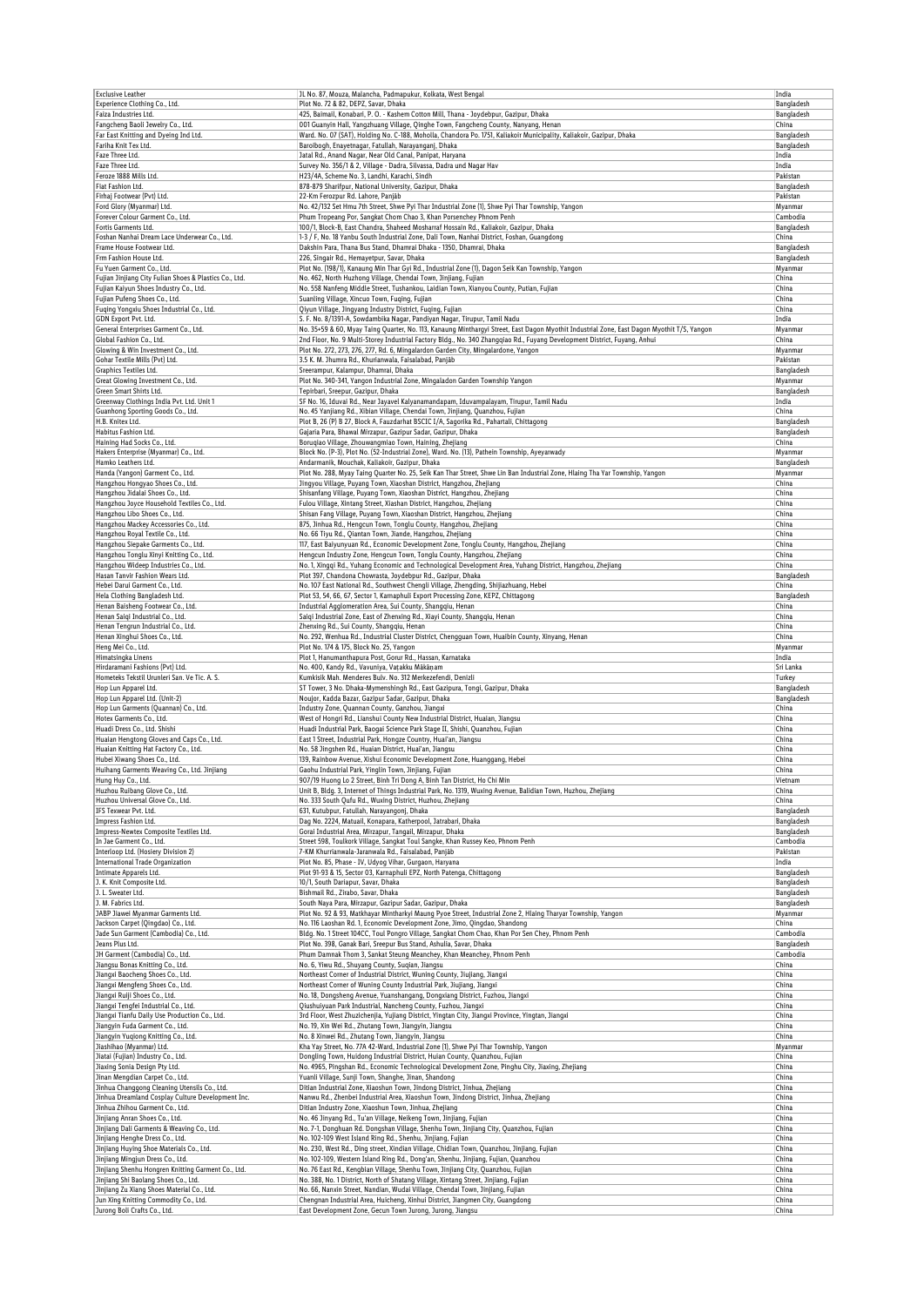| <b>Exclusive Leather</b>                                                       | JL No. 87, Mouza, Malancha, Padmapukur, Kolkata, West Bengal                                                                                                                         | India                    |
|--------------------------------------------------------------------------------|--------------------------------------------------------------------------------------------------------------------------------------------------------------------------------------|--------------------------|
| Experience Clothing Co., Ltd.                                                  | Plot No. 72 & 82, DEPZ, Savar, Dhaka                                                                                                                                                 | Bangladesh               |
| Faiza Industries Ltd.                                                          | 425, Baimail, Konabari, P. O. - Kashem Cotton Mill, Thana - Joydebpur, Gazipur, Dhaka                                                                                                | Bangladesh               |
| Fangcheng Baoli Jewelry Co., Ltd.                                              | 001 Guanyin Hall, Yangzhuang Village, Qinghe Town, Fangcheng County, Nanyang, Henan                                                                                                  | China                    |
| Far East Knitting and Dyeing Ind Ltd.                                          | Ward. No. 07 (SAT), Holding No. C-188, Moholla, Chandora Po. 1751, Kaliakoir Municipality, Kaliakoir, Gazipur, Dhaka                                                                 | Bangladesh               |
| Fariha Knit Tex Ltd.                                                           | Baroibogh, Enayetnagar, Fatullah, Narayanganj, Dhaka                                                                                                                                 | Bangladesh               |
| Faze Three Ltd.<br>Faze Three Ltd.                                             | Jatal Rd., Anand Nagar, Near Old Canal, Panipat, Haryana<br>Survey No. 356/1 & 2, Village - Dadra, Silvassa, Dadra und Nagar Hav                                                     | India<br>India           |
| Feroze 1888 Mills Ltd.                                                         | H23/4A, Scheme No. 3, Landhi, Karachi, Sindh                                                                                                                                         | Pakistan                 |
| Fiat Fashion Ltd.                                                              | 878-879 Sharifpur, National University, Gazipur, Dhaka                                                                                                                               | Bangladesh               |
| Firhaj Footwear (Pvt) Ltd.                                                     | 22-Km Ferozpur Rd. Lahore, Panjāb                                                                                                                                                    | Pakistan                 |
| Ford Glory (Myanmar) Ltd.                                                      | No. 42/132 Set Hmu 7th Street, Shwe Pyi Thar Industrial Zone (1), Shwe Pyi Thar Township, Yangon                                                                                     | Myanmar                  |
| Forever Colour Garment Co., Ltd.                                               | Phum Tropeang Por, Sangkat Chom Chao 3, Khan Porsenchey Phnom Penh                                                                                                                   | Cambodia                 |
| Fortis Garments Ltd.                                                           | 100/1, Block-B, East Chandra, Shaheed Mosharraf Hossain Rd., Kaliakoir, Gazipur, Dhaka                                                                                               | Bangladesh               |
| Foshan Nanhai Dream Lace Underwear Co., Ltd.                                   | 1-3 / F, No. 18 Yanbu South Industrial Zone, Dali Town, Nanhai District, Foshan, Guangdong                                                                                           | China                    |
| Frame House Footwear Ltd.                                                      | Dakshin Para, Thana Bus Stand, Dhamrai Dhaka - 1350, Dhamrai, Dhaka                                                                                                                  | Bangladesh               |
| Frm Fashion House Ltd.                                                         | 226, Singair Rd., Hemayetpur, Savar, Dhaka                                                                                                                                           | Bangladesh               |
| Fu Yuen Garment Co., Ltd.                                                      | Plot No. (198/1), Kanaung Min Thar Gyi Rd., Industrial Zone (1), Dagon Seik Kan Township, Yangon                                                                                     | Myanmar                  |
| Fujian Jinjiang City Fulian Shoes & Plastics Co., Ltd.                         | No. 462, North Huzhong Village, Chendai Town, Jinjiang, Fujian                                                                                                                       | China                    |
| Fujian Kaiyun Shoes Industry Co., Ltd.<br>Fujian Pufeng Shoes Co., Ltd.        | No. 558 Nanfeng Middle Street, Tushankou, Laidian Town, Xianyou County, Putian, Fujian<br>Suanling Village, Xincuo Town, Fuqing, Fujian                                              | China<br>China           |
| Fuqing Yongxiu Shoes Industrial Co., Ltd.                                      | Qiyun Village, Jingyang Industry District, Fuqing, Fujian                                                                                                                            | China                    |
| GDN Export Pvt. Ltd.                                                           | S. F. No. 8/1391-A, Sowdambika Nagar, Pandiyan Nagar, Tirupur, Tamil Nadu                                                                                                            | India                    |
| General Enterprises Garment Co., Ltd.                                          | No. 35+59 & 60, Myay Taing Quarter, No. 113, Kanaung Minthargyi Street, East Dagon Myothit Industrial Zone, East Dagon Myothit T/S, Yangon                                           | Myanmar                  |
| Global Fashion Co., Ltd.                                                       | 2nd Floor, No. 9 Multi-Storey Industrial Factory Bldg., No. 340 Zhangqiao Rd., Fuyang Development District, Fuyang, Anhui                                                            | China                    |
| Glowing & Win Investment Co., Ltd.                                             | Plot No. 272, 273, 276, 277, Rd. 6, Mingalardon Garden City, Mingalardone, Yangon                                                                                                    | Myanmar                  |
| Gohar Textile Mills (Pvt) Ltd.                                                 | 3.5 K. M. Jhumra Rd., Khurianwala, Faisalabad, Panjāb                                                                                                                                | Pakistan                 |
| Graphics Textiles Ltd.                                                         | Sreerampur, Kalampur, Dhamrai, Dhaka                                                                                                                                                 | Bangladesh               |
| Great Glowing Investment Co., Ltd.                                             | Plot No. 340-341, Yangon Industrial Zone, Mingaladon Garden Township Yangon                                                                                                          | Myanmar                  |
| Green Smart Shirts Ltd.                                                        | Tepirbari, Sreepur, Gazipur, Dhaka                                                                                                                                                   | Bangladesh               |
| Greenway Clothings India Pvt. Ltd. Unit 1                                      | SF No. 16, Iduvai Rd., Near Jayavel Kalyanamandapam, Iduvampalayam, Tirupur, Tamil Nadu                                                                                              | India                    |
| Guanhong Sporting Goods Co., Ltd.                                              | No. 45 Yanjiang Rd., Xibian Village, Chendai Town, Jinjiang, Quanzhou, Fujian                                                                                                        | China                    |
| H.B. Knitex Ltd.<br>Habitus Fashion Ltd.                                       | Plot B, 26 (P) B 27, Block A, Fauzdarhat BSCIC I/A, Sagorika Rd., Pahartali, Chittagong<br>Gajaria Para, Bhawal Mirzapur, Gazipur Sadar, Gazipur, Dhaka                              | Bangladesh<br>Bangladesh |
| Haining Had Socks Co., Ltd.                                                    | Boruqiao Village, Zhouwangmiao Town, Haining, Zhejiang                                                                                                                               | China                    |
| Hakers Enterprise (Myanmar) Co., Ltd.                                          | Block No. (P-3), Plot No. (52-Industrial Zone), Ward. No. (13), Pathein Township, Ayeyarwady                                                                                         | Myanmar                  |
| Hamko Leathers Ltd.                                                            | Andarmanik, Mouchak, Kaliakoir, Gazipur, Dhaka                                                                                                                                       | Bangladesh               |
| Handa (Yangon) Garment Co., Ltd.                                               | Plot No. 288, Myay Taing Quarter No. 25, Seik Kan Thar Street, Shwe Lin Ban Industrial Zone, Hlaing Tha Yar Township, Yangon                                                         | Myanmar                  |
| Hangzhou Hongyao Shoes Co., Ltd.                                               | Jingyou Village, Puyang Town, Xiaoshan District, Hangzhou, Zhejiang                                                                                                                  | China                    |
| Hangzhou Jidalai Shoes Co., Ltd.                                               | Shisanfang Village, Puyang Town, Xiaoshan District, Hangzhou, Zhejiang                                                                                                               | China                    |
| Hangzhou Joyce Household Textiles Co., Ltd.                                    | Fulou Village, Xintang Street, Xiashan District, Hangzhou, Zhejiang                                                                                                                  | China                    |
| Hangzhou Libo Shoes Co., Ltd.                                                  | Shisan Fang Village, Puyang Town, Xiaoshan District, Hangzhou, Zhejiang                                                                                                              | China                    |
| Hangzhou Mackey Accessories Co., Ltd.                                          | 875, Jinhua Rd., Hengcun Town, Tonglu County, Hangzhou, Zhejiang                                                                                                                     | China                    |
| Hangzhou Royal Textile Co., Ltd.                                               | No. 66 Tiyu Rd., Qiantan Town, Jiande, Hangzhou, Zhejiang                                                                                                                            | China                    |
| Hangzhou Siepake Garments Co., Ltd.                                            | 117, East Baiyunyuan Rd., Economic Development Zone, Tonglu County, Hangzhou, Zhejiang                                                                                               | China                    |
| Hangzhou Tonglu Xinyi Knitting Co., Ltd.                                       | Hengcun Industry Zone, Hengcun Town, Tonglu County, Hangzhou, Zhejiang<br>No. 1, Xingqi Rd., Yuhang Economic and Technological Development Area, Yuhang District, Hangzhou, Zhejiang | China<br>China           |
| Hangzhou Wideep Industries Co., Ltd.<br>Hasan Tanvir Fashion Wears Ltd.        | Plot 397, Chandona Chowrasta, Joydebpur Rd., Gazipur, Dhaka                                                                                                                          | Bangladesh               |
| Hebei Darui Garment Co., Ltd.                                                  | No. 107 East National Rd., Southwest Chengli Village, Zhengding, Shijiazhuang, Hebei                                                                                                 | China                    |
| Hela Clothing Bangladesh Ltd.                                                  | Plot 53, 54, 66, 67, Sector 1, Karnaphuli Export Processing Zone, KEPZ, Chittagong                                                                                                   | Bangladesh               |
| Henan Baisheng Footwear Co., Ltd.                                              | Industrial Agglomeration Area, Sui County, Shangqiu, Henan                                                                                                                           | China                    |
| Henan Saigi Industrial Co., Ltd.                                               | Saiqi Industrial Zone, East of Zhenxing Rd., Xiayi County, Shangqiu, Henan                                                                                                           | China                    |
| Henan Tengrun Industrial Co., Ltd.                                             | Zhenxing Rd., Sui County, Shangqiu, Henan                                                                                                                                            | China                    |
| Henan Xinghui Shoes Co., Ltd.                                                  | No. 292, Wenhua Rd., Industrial Cluster District, Chengguan Town, Huaibin County, Xinyang, Henan                                                                                     | China                    |
| Heng Mei Co., Ltd.                                                             | Plot No. 174 & 175, Block No. 25, Yangon                                                                                                                                             | Myanmar                  |
| Himatsingka Linens                                                             | Plot 1, Hanumanthapura Post, Gorur Rd., Hassan, Karnataka                                                                                                                            | India                    |
| Hirdaramani Fashions (Pvt) Ltd.                                                | No. 400, Kandy Rd., Vavuniya, Vatakku Mākāņam                                                                                                                                        | Sri Lanka                |
| Hometeks Tekstil Urunleri San. Ve Tic. A. S.                                   | Kumkisik Mah. Menderes Bulv. No. 312 Merkezefendi, Denizli                                                                                                                           | Turkey                   |
| Hop Lun Apparel Ltd.                                                           | ST Tower, 3 No. Dhaka-Mymenshingh Rd., East Gazipura, Tongi, Gazipur, Dhaka                                                                                                          | Bangladesh               |
| Hop Lun Apparel Ltd. (Unit-2)                                                  | Noujor, Kadda Bazar, Gazipur Sadar, Gazipur, Dhaka                                                                                                                                   | Bangladesh               |
| Hop Lun Garments (Quannan) Co., Ltd.<br>Hotex Garments Co., Ltd.               | Industry Zone, Quannan County, Ganzhou, Jiangxi<br>West of Hongri Rd., Lianshui County New Industrial District, Huaian, Jiangsu                                                      | China<br>China           |
| Huadi Dress Co., Ltd. Shishi                                                   | Huadi Industrial Park, Baogai Science Park Stage II, Shishi, Quanzhou, Fujian                                                                                                        | China                    |
| Huaian Hengtong Gloves and Caps Co., Ltd.                                      | East 1 Street, Industrial Park, Hongze Country, Huai'an, Jiangsu                                                                                                                     | China                    |
| Huaian Knitting Hat Factory Co., Ltd.                                          | No. 58 Jingshen Rd., Huaian District, Huai'an, Jiangsu                                                                                                                               | China                    |
| Hubei Xiwang Shoes Co., Ltd.                                                   | 139, Rainbow Avenue, Xishui Economic Development Zone, Huanggang, Hebei                                                                                                              | China                    |
| Huihang Garments Weaving Co., Ltd. Jinjiang                                    | Gaohu Industrial Park, Yinglin Town, Jinjiang, Fujian                                                                                                                                | China                    |
| Hung Huy Co., Ltd.                                                             | 907/19 Huong Lo 2 Street, Binh Tri Dong A, Binh Tan District, Ho Chi Min                                                                                                             | Vietnam                  |
| Huzhou Ruibang Glove Co., Ltd.                                                 | Unit B, Bldg. 3, Internet of Things Industrial Park, No. 1319, Wuxing Avenue, Balidian Town, Huzhou, Zhejiang                                                                        | China                    |
| Huzhou Universal Glove Co., Ltd.                                               | No. 333 South Qufu Rd., Wuxing District, Huzhou, Zhejiang                                                                                                                            | China                    |
| IFS Texwear Pvt. Ltd.                                                          | 631, Kutubpur, Fatullah, Narayangonj, Dhaka                                                                                                                                          | Bangladesh               |
| Impress Fashion Ltd.                                                           | Dag No. 2224, Matuail, Konapara, Katherpool, Jatrabari, Dhaka                                                                                                                        | Bangladesh               |
| Impress-Newtex Composite Textiles Ltd.                                         | Gorai Industrial Area, Mirzapur, Tangail, Mirzapur, Dhaka                                                                                                                            | Bangladesh               |
| In Jae Garment Co., Ltd.                                                       | Street 598, Toulkork Village, Sangkat Toul Sangke, Khan Russey Keo, Phnom Penh                                                                                                       | Cambodia<br>Pakistan     |
| Interloop Ltd. (Hosiery Division 2)<br><b>International Trade Organization</b> | 7-KM Khurrianwala-Jaranwala Rd., Faisalabad, Panjäb<br>Plot No. 85, Phase - IV, Udyog Vihar, Gurgaon, Haryana                                                                        | India                    |
| Intimate Apparels Ltd.                                                         | Plot 91-93 & 15, Sector 03, Karnaphuli EPZ, North Patenga, Chittagong                                                                                                                | Bangladesh               |
| J. K. Knit Composite Ltd.                                                      | 10/1, South Dariapur, Savar, Dhaka                                                                                                                                                   | Bangladesh               |
| J. L. Sweater Ltd.                                                             | Bishmail Rd., Zirabo, Savar, Dhaka                                                                                                                                                   | Bangladesh               |
| J. M. Fabrics Ltd.                                                             | South Naya Para, Mirzapur, Gazipur Sadar, Gazipur, Dhaka                                                                                                                             | Bangladesh               |
| JABP Jiawei Myanmar Garments Ltd.                                              | Plot No. 92 & 93, Matkhayar Mintharkyi Maung Pyoe Street, Industrial Zone 2, Hlaing Tharyar Township, Yangon                                                                         | Myanmar                  |
| Jackson Carpet (Qingdao) Co., Ltd.                                             | No. 116 Laoshan Rd. 1, Economic Development Zone, Jimo, Qingdao, Shandong                                                                                                            | China                    |
| Jade Sun Garment (Cambodia) Co., Ltd.                                          | Bldg. No. 1 Street 104CC, Toul Pongro Village, Sangkat Chom Chao, Khan Por Sen Chey, Phnom Penh                                                                                      | Cambodia                 |
| Jeans Plus Ltd.                                                                | Plot No. 398, Ganak Bari, Sreepur Bus Stand, Ashulia, Savar, Dhaka                                                                                                                   | Bangladesh               |
| JH Garment (Cambodia) Co., Ltd.                                                | Phum Damnak Thom 3, Sankat Steung Meanchey, Khan Meanchey, Phnom Penh                                                                                                                | Cambodia                 |
| Jiangsu Bonas Knitting Co., Ltd.                                               | No. 6, Yiwu Rd., Shuyang County, Suqian, Jiangsu                                                                                                                                     | China                    |
| Jiangxi Baocheng Shoes Co., Ltd.                                               | Northeast Corner of Industrial District, Wuning County, Jiujiang, Jiangxi                                                                                                            | China                    |
| Jiangxi Mengfeng Shoes Co., Ltd.<br>Jiangxi Ruiji Shoes Co., Ltd.              | Northeast Corner of Wuning County Industrial Park, Jiujiang, Jiangxi<br>No. 18, Dongsheng Avenue, Yuanshangang, Dongxiang District, Fuzhou, Jiangxi                                  | China<br>China           |
| Jiangxi Tengfei Industrial Co., Ltd.                                           | Qiushuiyuan Park Industrial, Nancheng County, Fuzhou, Jiangxi                                                                                                                        | China                    |
| Jiangxi Tianfu Daily Use Production Co., Ltd.                                  | 3rd Floor, West Zhuzichenjia, Yujiang District, Yingtan City, Jiangxi Province, Yingtan, Jiangxi                                                                                     | China                    |
| Jiangyin Fuda Garment Co., Ltd.                                                | No. 19, Xin Wei Rd., Zhutang Town, Jiangyin, Jiangsu                                                                                                                                 | China                    |
| Jiangyin Yuqiong Knitting Co., Ltd.                                            | No. 8 Xinwei Rd., Zhutang Town, Jiangyin, Jiangsu                                                                                                                                    | China                    |
| Jiashihao (Myanmar) Ltd.                                                       | Kha Yay Street, No. 77A 42-Ward, Industrial Zone (1), Shwe Pyi Thar Township, Yangon                                                                                                 | Myanmar                  |
| Jiatai (Fujian) Industry Co., Ltd.                                             | Dongling Town, Huidong Industrial District, Huian County, Quanzhou, Fujian                                                                                                           | China                    |
| Jiaxing Sonia Design Pty Ltd.                                                  | No. 4965, Pingshan Rd., Economic Technological Development Zone, Pinghu City, Jiaxing, Zhejiang                                                                                      | China                    |
| Jinan Mengdian Carpet Co., Ltd.                                                | Yuanli Village, Sunji Town, Shanghe, Jinan, Shandong                                                                                                                                 | China                    |
| Jinhua Changgong Cleaning Utensils Co., Ltd.                                   | Ditian Industrial Zone, Xiaoshun Town, Jindong District, Jinhua, Zhejiang                                                                                                            | China                    |
| Jinhua Dreamland Cosplay Culture Development Inc.                              | Nanwu Rd., Zhenbei Industrial Area, Xiaoshun Town, Jindong District, Jinhua, Zhejiang                                                                                                | China                    |
| Jinhua Zhihou Garment Co., Ltd.                                                | Ditian Industry Zone, Xiaoshun Town, Jinhua, Zhejiang                                                                                                                                | China                    |
| Jinjiang Anran Shoes Co., Ltd.                                                 | No. 46 Jinyang Rd., Tu'an Village, Neikeng Town, Jinjiang, Fujian                                                                                                                    | China                    |
| Jinjiang Dali Garments & Weaving Co., Ltd.<br>Jinjiang Henghe Dress Co., Ltd.  | No. 7-1, Donghuan Rd. Dongshan Village, Shenhu Town, Jinjiang City, Quanzhou, Fujian<br>No. 102-109 West Island Ring Rd., Shenhu, Jinjiang, Fujian                                   | China                    |
| Jinjiang Huying Shoe Materials Co., Ltd.                                       | No. 230, West Rd., Ding street, Xindian Village, Chidian Town, Quanzhou, Jinjiang, Fujian                                                                                            | China<br>China           |
| Jinjiang Mingjun Dress Co., Ltd.                                               | No. 102-109, Western Island Ring Rd., Dong'an, Shenhu, Jinjiang, Fujian, Quanzhou                                                                                                    | China                    |
| Jinjiang Shenhu Hongren Knitting Garment Co., Ltd.                             | No. 76 East Rd., Kengbian Village, Shenhu Town, Jinjiang City, Quanzhou, Fujian                                                                                                      | China                    |
| Jinjiang Shi Baolang Shoes Co., Ltd.                                           | No. 388, No. 1 District, North of Shatang Village, Xintang Street, Jinjiang, Fujian                                                                                                  | China                    |
| Jinjiang Zu Xiang Shoes Material Co., Ltd.                                     | No. 66, Nanxin Street, Nandian, Wudai Village, Chendai Town, Jinjiang, Fujian                                                                                                        | China                    |
| Jun Xing Knitting Commodity Co., Ltd.                                          | Chengnan Industrial Area, Huicheng, Xinhui District, Jiangmen City, Guangdong                                                                                                        | China                    |
| Jurong Boli Crafts Co., Ltd.                                                   | East Development Zone, Gecun Town Jurong, Jurong, Jiangsu                                                                                                                            | China                    |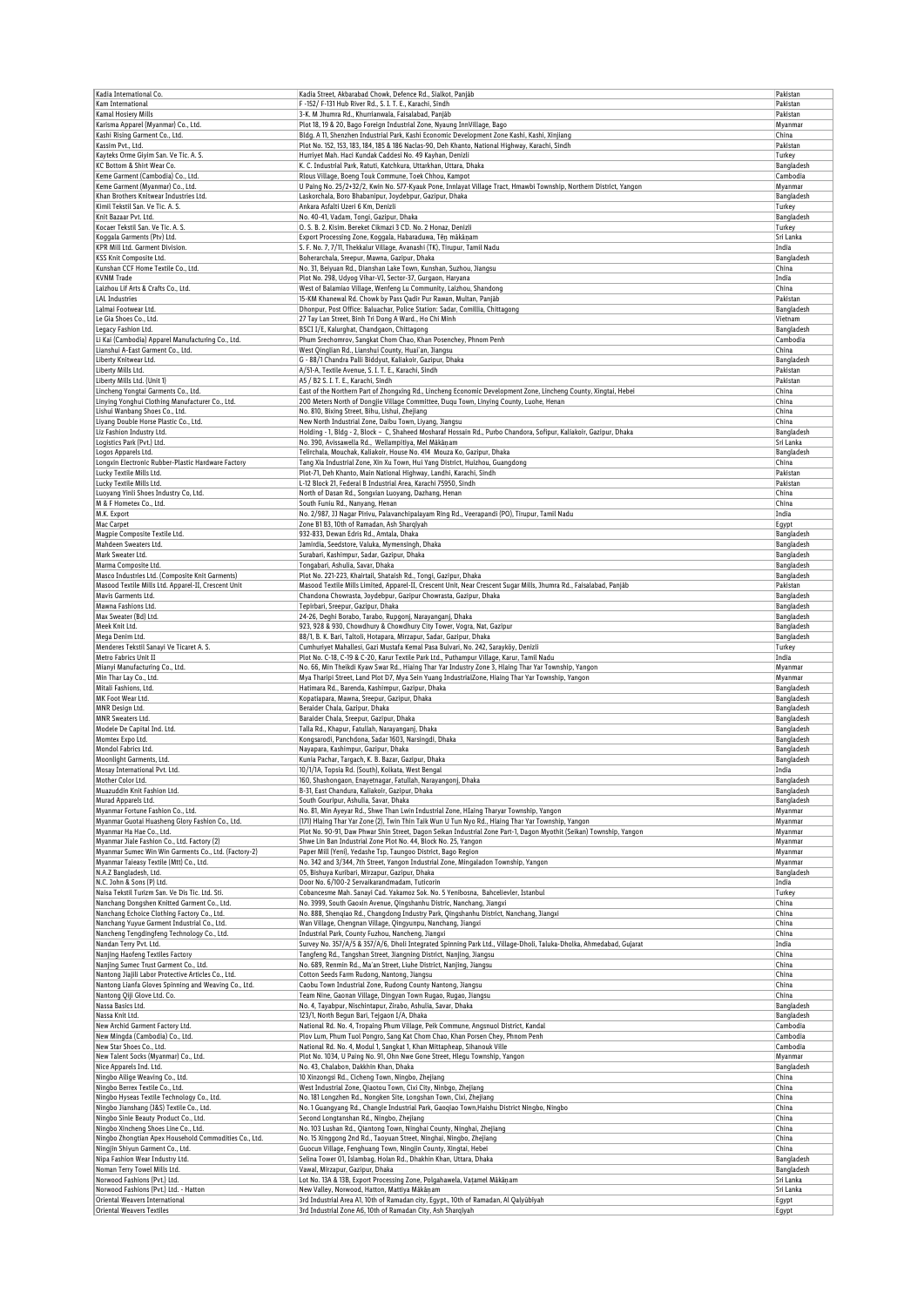|                                                                                                             | Kadia Street, Akbarabad Chowk, Defence Rd., Sialkot, Paniab                                                                                                                                               | Pakistan                 |
|-------------------------------------------------------------------------------------------------------------|-----------------------------------------------------------------------------------------------------------------------------------------------------------------------------------------------------------|--------------------------|
| Kam International                                                                                           | F -152/ F-131 Hub River Rd., S. I. T. E., Karachi, Sindh                                                                                                                                                  | Pakistan                 |
| Kamal Hosiery Mills<br>Karisma Apparel (Myanmar) Co., Ltd.                                                  | 3-K. M Jhumra Rd., Khurrianwala, Faisalabad, Panjāb<br>Plot 18, 19 & 20, Bago Foreign Industrial Zone, Nyaung InnVillage, Bago                                                                            | Pakistan<br>Myanmar      |
| Kashi Rising Garment Co., Ltd.                                                                              | Bldg. A 11, Shenzhen Industrial Park, Kashi Economic Development Zone Kashi, Kashi, Xinjiang                                                                                                              | China                    |
| Kassim Pvt., Ltd.                                                                                           | Plot No. 152, 153, 183, 184, 185 & 186 Naclas-90, Deh Khanto, National Highway, Karachi, Sindh                                                                                                            | Pakistan                 |
| Kayteks Orme Giyim San. Ve Tic. A. S.<br>KC Bottom & Shirt Wear Co.                                         | Hurriyet Mah. Haci Kundak Caddesi No. 49 Kayhan, Denizli<br>K. C. Industrial Park, Ratuti, Katchkura, Uttarkhan, Uttara, Dhaka                                                                            | Turkey<br>Bangladesh     |
| Keme Garment (Cambodia) Co., Ltd.                                                                           | Rlous Village, Boeng Touk Commune, Toek Chhou, Kampot                                                                                                                                                     | Cambodia                 |
| Keme Garment (Myanmar) Co., Ltd.                                                                            | U Painq No. 25/2+32/2, Kwin No. 577-Kyauk Pone, Innlayat Village Tract, Hmawbi Township, Northern District, Yangon                                                                                        | Myanmar                  |
| Khan Brothers Knitwear Industries Ltd.                                                                      | Laskorchala, Boro Bhabanipur, Joydebpur, Gazipur, Dhaka                                                                                                                                                   | Bangladesh               |
| Kimil Tekstil San. Ve Tic. A. S.<br>Knit Bazaar Pvt. Ltd.                                                   | Ankara Asfalti Uzeri 6 Km, Denizli<br>No. 40-41, Vadam, Tongi, Gazipur, Dhaka                                                                                                                             | Turkey                   |
| Kocaer Tekstil San. Ve Tic. A. S.                                                                           | O. S. B. 2. Kisim. Bereket Cikmazi 3 CD. No. 2 Honaz, Denizli                                                                                                                                             | Bangladesh<br>Turkey     |
| Koggala Garments (Ptv) Ltd.                                                                                 | Export Processing Zone, Koggala, Habaraduwa, Těn mäkänam                                                                                                                                                  | Sri Lanka                |
| KPR Mill Ltd. Garment Division.                                                                             | S. F. No. 7, 7/11, Thekkalur Village, Avanashi (TK), Tirupur, Tamil Nadu                                                                                                                                  | India                    |
| KSS Knit Composite Ltd.<br>Kunshan CCF Home Textile Co., Ltd.                                               | Boherarchala, Sreepur, Mawna, Gazipur, Dhaka<br>No. 31, Beiyuan Rd., Dianshan Lake Town, Kunshan, Suzhou, Jiangsu                                                                                         | Bangladesh<br>China      |
| <b>KVNM Trade</b>                                                                                           | Plot No. 298, Udyog Vihar-VI, Sector-37, Gurgaon, Haryana                                                                                                                                                 | India                    |
| Laizhou Lif Arts & Crafts Co., Ltd.                                                                         | West of Balamiao Village, Wenfeng Lu Community, Laizhou, Shandong                                                                                                                                         | China                    |
| <b>LAL Industries</b>                                                                                       | 15-KM Khanewal Rd. Chowk by Pass Qadir Pur Rawan, Multan, Panjāb                                                                                                                                          | Pakistan                 |
| Lalmai Footwear Ltd.<br>Le Gia Shoes Co., Ltd.                                                              | Dhonpur, Post Office: Baluachar, Police Station: Sadar, Comillia, Chittagong<br>27 Tay Lan Street, Binh Tri Dong A Ward., Ho Chi Minh                                                                     | Bangladesh<br>Vietnam    |
| Legacy Fashion Ltd.                                                                                         | BSCI I/E, Kalurghat, Chandgaon, Chittagong                                                                                                                                                                | Bangladesh               |
| Li Kai (Cambodia) Apparel Manufacturing Co., Ltd                                                            | Phum Srechomrov, Sangkat Chom Chao, Khan Posenchey, Phnom Penh                                                                                                                                            | Cambodia                 |
| Lianshui A-East Garment Co., Ltd.                                                                           | West Qinglian Rd., Lianshui County, Huai'an, Jiangsu                                                                                                                                                      | China                    |
| Liberty Knitwear Ltd.<br>Liberty Mills Ltd.                                                                 | G - 88/1 Chandra Palli Biddyut, Kaliakoir, Gazipur, Dhaka<br>A/51-A, Textile Avenue, S. I. T. E., Karachi, Sindh                                                                                          | Bangladesh<br>Pakistan   |
| Liberty Mills Ltd. (Unit 1)                                                                                 | A5 / B2 S. I. T. E., Karachi, Sindh                                                                                                                                                                       | Pakistan                 |
| Lincheng Yongtai Garments Co., Ltd.                                                                         | East of the Northern Part of Zhongxing Rd., Lincheng Economic Development Zone, Lincheng County, Xingtai, Hebei                                                                                           | China                    |
| Linying Yonghui Clothing Manufacturer Co., Ltd.                                                             | 200 Meters North of Dongjie Village Committee, Duqu Town, Linying County, Luohe, Henan                                                                                                                    | China                    |
| Lishui Wanbang Shoes Co., Ltd.<br>Liyang Double Horse Plastic Co., Ltd.                                     | No. 810, Bixing Street, Bihu, Lishui, Zhejiang<br>New North Industrial Zone, Daibu Town, Liyang, Jiangsu                                                                                                  | China<br>China           |
| Liz Fashion Industry Ltd.                                                                                   | Holding - 1, Bldg - 2, Block - C, Shaheed Mosharaf Hossain Rd., Purbo Chandora, Sofipur, Kaliakoir, Gazipur, Dhaka                                                                                        | Bangladesh               |
| Logistics Park (Pvt.) Ltd.                                                                                  | No. 390, Avissawella Rd., Wellampitiya, Mel Mākāņam                                                                                                                                                       | Sri Lanka                |
| Logos Apparels Ltd.                                                                                         | Telirchala, Mouchak, Kaliakoir, House No. 414 Mouza Ko, Gazipur, Dhaka                                                                                                                                    | Bangladesh               |
| Longxin Electronic Rubber-Plastic Hardware Factory<br>Lucky Textile Mills Ltd.                              | Tang Xia Industrial Zone, Xin Xu Town, Hui Yang District, Huizhou, Guangdong<br>Plot-71, Deh Khanto, Main National Highway, Landhi, Karachi, Sindh                                                        | China<br>Pakistan        |
| Lucky Textile Mills Ltd.                                                                                    | L-12 Block 21, Federal B Industrial Area, Karachi 75950, Sindh                                                                                                                                            | Pakistan                 |
| Luoyang Yinli Shoes Industry Co, Ltd.                                                                       | North of Dasan Rd., Songxian Luoyang, Dazhang, Henan                                                                                                                                                      | China                    |
| M & F Hometex Co., Ltd.                                                                                     | South Funiu Rd., Nanyang, Henan                                                                                                                                                                           | China                    |
| M.K. Export<br>Mac Carpet                                                                                   | No. 2/987, JJ Nagar Pirivu, Palavanchipalayam Ring Rd., Veerapandi (PO), Tirupur, Tamil Nadu<br>Zone B1 B3, 10th of Ramadan, Ash Sharqiyah                                                                | India                    |
| Magpie Composite Textile Ltd.                                                                               | 932-833, Dewan Edris Rd., Amtala, Dhaka                                                                                                                                                                   | Egypt<br>Bangladesh      |
| Mahdeen Sweaters Ltd.                                                                                       | Jamirdia, Seedstore, Valuka, Mymensingh, Dhaka                                                                                                                                                            | Bangladesh               |
| Mark Sweater Ltd.                                                                                           | Surabari, Kashimpur, Sadar, Gazipur, Dhaka                                                                                                                                                                | Bangladesh               |
| Marma Composite Ltd.<br>Masco Industries Ltd. (Composite Knit Garments)                                     | Tongabari, Ashulia, Savar, Dhaka<br>Plot No. 221-223, Khairtail, Shataish Rd., Tongi, Gazipur, Dhaka                                                                                                      | Bangladesh<br>Bangladesh |
| Masood Textile Mills Ltd. Apparel-II, Crescent Unit                                                         | Masood Textile Mills Limited, Apparel-II, Crescent Unit, Near Crescent Sugar Mills, Jhumra Rd., Faisalabad, Panjāb                                                                                        | Pakistan                 |
| Mavis Garments Ltd.                                                                                         | Chandona Chowrasta, Joydebpur, Gazipur Chowrasta, Gazipur, Dhaka                                                                                                                                          | Bangladesh               |
| Mawna Fashions Ltd.                                                                                         | Tepirbari, Sreepur, Gazipur, Dhaka                                                                                                                                                                        | Bangladesh               |
| Max Sweater (Bd) Ltd.<br>Meek Knit Ltd.                                                                     | 24-26, Deghi Borabo, Tarabo, Rupgonj, Narayanganj, Dhaka<br>923, 928 & 930, Chowdhury & Chowdhury City Tower, Vogra, Nat, Gazipur                                                                         | Bangladesh<br>Bangladesh |
| Mega Denim Ltd.                                                                                             | 88/1, B. K. Bari, Taltoli, Hotapara, Mirzapur, Sadar, Gazipur, Dhaka                                                                                                                                      | Bangladesh               |
| Menderes Tekstil Sanayi Ve Ticaret A. S.                                                                    | Cumhuriyet Mahallesi, Gazi Mustafa Kemal Pasa Bulvari, No. 242, Sarayköy, Denizli                                                                                                                         | Turkey                   |
| Metro Fabrics Unit II                                                                                       | Plot No. C-18, C-19 & C-20, Karur Textile Park Ltd., Puthampur Village, Karur, Tamil Nadu                                                                                                                 | India                    |
| Mianyi Manufacturing Co., Ltd.<br>Min Thar Lay Co., Ltd.                                                    | No. 66, Min Theikdi Kyaw Swar Rd., Hiaing Thar Yar Industry Zone 3, Hlaing Thar Yar Township, Yangon<br>Mya Tharipi Street, Land Plot D7, Mya Sein Yuang IndustrialZone, Hiaing Thar Yar Township, Yangon | Myanmar<br>Myanmar       |
| Mitali Fashions, Ltd.                                                                                       | Hatimara Rd., Barenda, Kashimpur, Gazipur, Dhaka                                                                                                                                                          | Bangladesh               |
| MK Foot Wear Ltd.                                                                                           | Kopatiapara, Mawna, Sreepur, Gazipur, Dhaka                                                                                                                                                               | Bangladesh               |
| MNR Design Ltd.                                                                                             | Beraider Chala, Gazipur, Dhaka                                                                                                                                                                            | Bangladesh               |
| MNR Sweaters Ltd.<br>Modele De Capital Ind. Ltd.                                                            | Baraider Chala, Sreepur, Gazipur, Dhaka<br>Talla Rd., Khapur, Fatullah, Narayanganj, Dhaka                                                                                                                | Bangladesh<br>Bangladesh |
| Momtex Expo Ltd.                                                                                            | Kongsarodi, Panchdona, Sadar 1603, Narsingdi, Dhaka                                                                                                                                                       | Bangladesh               |
| Mondol Fabrics Ltd.                                                                                         | Nayapara, Kashimpur, Gazipur, Dhaka                                                                                                                                                                       | Bangladesh               |
|                                                                                                             |                                                                                                                                                                                                           | Bangladesh               |
| Moonlight Garments, Ltd.                                                                                    | Kunia Pachar, Targach, K. B. Bazar, Gazipur, Dhaka                                                                                                                                                        |                          |
| Mosay International Pvt. Ltd.                                                                               | 10/1/1A, Topsia Rd. (South), Kolkata, West Bengal                                                                                                                                                         | India                    |
| Mother Color Ltd.<br>Muazuddin Knit Fashion Ltd.                                                            | 160, Shashongaon, Enayetnagar, Fatullah, Narayangonj, Dhaka<br>B-31, East Chandura, Kaliakoir, Gazipur, Dhaka                                                                                             | Bangladesh<br>Bangladesh |
| Murad Apparels Ltd.                                                                                         | South Gouripur, Ashulia, Savar, Dhaka                                                                                                                                                                     | Bangladesh               |
| Myanmar Fortune Fashion Co., Ltd.                                                                           | No. 81, Min Ayeyar Rd., Shwe Than Lwin Industrial Zone, HIaing Tharyar Township, Yangon                                                                                                                   | Myanmar                  |
| Myanmar Guotai Huasheng Glory Fashion Co., Ltd.                                                             | (171) Hlaing Thar Yar Zone (2), Twin Thin Taik Wun U Tun Nyo Rd., Hlaing Thar Yar Township, Yangon                                                                                                        | Myanmar<br>Myanmar       |
| Myanmar Ha Hae Co., Ltd.<br>Myanmar Jiale Fashion Co., Ltd. Factory (2)                                     | Plot No. 90-91, Daw Phwar Shin Street, Dagon Seikan Industrial Zone Part-1, Dagon Myothit (Seikan) Township, Yangon<br>Shwe Lin Ban Industrial Zone Plot No. 44, Block No. 25, Yangon                     | Myanmar                  |
| Myanmar Sumec Win Win Garments Co., Ltd. (Factory-2)                                                        | Paper Mill (Yeni), Yedashe Tsp, Taungoo District, Bago Region                                                                                                                                             | Myanmar                  |
| Myanmar Taieasy Textile (Mtt) Co., Ltd.                                                                     | No. 342 and 3/344, 7th Street, Yangon Industrial Zone, Mingaladon Township, Yangon                                                                                                                        | Myanmar                  |
| N.A.Z Bangladesh, Ltd.<br>N.C. John & Sons (P) Ltd.                                                         | 05, Bishuya Kuribari, Mirzapur, Gazipur, Dhaka<br>Door No. 6/100-2 Servaikarandmadam, Tuticorin                                                                                                           | Bangladesh<br>India      |
| Naisa Tekstil Turizm San. Ve Dis Tic. Ltd. Sti.                                                             | Cobancesme Mah. Sanayi Cad. Yakamoz Sok. No. 5 Yenibosna, Bahcelievler, Istanbul                                                                                                                          | Turkey                   |
| Nanchang Dongshen Knitted Garment Co., Ltd.                                                                 | No. 3999, South Gaoxin Avenue, Qingshanhu Distric, Nanchang, Jiangxi                                                                                                                                      | China                    |
| Nanchang Echoice Clothing Factory Co., Ltd.                                                                 | No. 888, Shenqiao Rd., Changdong Industry Park, Qingshanhu District, Nanchang, Jiangxi                                                                                                                    | China                    |
| Nanchang Yuyue Garment Industrial Co., Ltd.<br>Nancheng Tengdingfeng Technology Co., Ltd.                   | Wan Village, Chengnan Village, Qingyunpu, Nanchang, Jiangxi<br>Industrial Park, County Fuzhou, Nancheng, Jiangxi                                                                                          | China<br>China           |
| Nandan Terry Pvt. Ltd.                                                                                      | Survey No. 357/A/5 & 357/A/6, Dholi Integrated Spinning Park Ltd., Village-Dholi, Taluka-Dholka, Ahmedabad, Gujarat                                                                                       | India                    |
| Nanjing Haofeng Textiles Factory                                                                            | Tangfeng Rd., Tangshan Street, Jiangning District, Nanjing, Jiangsu                                                                                                                                       | China                    |
| Nanjing Sumec Trust Garment Co., Ltd.                                                                       | No. 689, Renmin Rd., Ma'an Street, Liuhe District, Nanjing, Jiangsu                                                                                                                                       | China                    |
| Nantong Jiajili Labor Protective Articles Co., Ltd.<br>Nantong Lianfa Gloves Spinning and Weaving Co., Ltd. | Cotton Seeds Farm Rudong, Nantong, Jiangsu<br>Caobu Town Industrial Zone, Rudong County Nantong, Jiangsu                                                                                                  | China<br>China           |
| Nantong Qiji Glove Ltd. Co.                                                                                 | Team Nine, Gaonan Village, Dingyan Town Rugao, Rugao, Jiangsu                                                                                                                                             | China                    |
| Nassa Basics Ltd.                                                                                           | No. 4, Tayabpur, Nischintapur, Zirabo, Ashulia, Savar, Dhaka                                                                                                                                              | Bangladesh               |
| Nassa Knit Ltd.                                                                                             | 123/1, North Begun Bari, Tejgaon I/A, Dhaka                                                                                                                                                               | Bangladesh               |
| New Archid Garment Factory Ltd.<br>New Mingda (Cambodia) Co., Ltd.                                          | National Rd. No. 4, Tropaing Phum Village, Peik Commune, Angsnuol District, Kandal<br>Plov Lum, Phum Tuol Pongro, Sang Kat Chom Chao, Khan Porsen Chey, Phnom Penh                                        | Cambodia<br>Cambodia     |
| New Star Shoes Co., Ltd.                                                                                    | National Rd. No. 4, Modul 1, Sangkat 1, Khan Mittapheap, Sihanouk Ville                                                                                                                                   | Cambodia                 |
| New Talent Socks (Myanmar) Co., Ltd.                                                                        | Plot No. 1034, U Paing No. 91, Ohn Nwe Gone Street, Hlegu Township, Yangon                                                                                                                                | Myanmar                  |
| Nice Apparels Ind. Ltd.<br>Ningbo Ailige Weaving Co., Ltd.                                                  | No. 43, Chalabon, Dakkhin Khan, Dhaka<br>10 Xinzongsi Rd., Cicheng Town, Ningbo, Zhejiang                                                                                                                 | Bangladesh<br>China      |
| Ningbo Berrex Textile Co., Ltd.                                                                             | West Industrial Zone, Qiaotou Town, Cixi City, Ninbgo, Zhejiang                                                                                                                                           | China                    |
| Ningbo Hyseas Textile Technology Co., Ltd.                                                                  | No. 181 Longzhen Rd., Nongken Site, Longshan Town, Cixi, Zhejiang                                                                                                                                         | China                    |
| Ningbo Jianshang (J&S) Textile Co., Ltd.                                                                    | No. 1 Guangyang Rd., Changle Industrial Park, Gaoqiao Town, Haishu District Ningbo, Ningbo                                                                                                                | China                    |
| Ningbo Sinle Beauty Product Co., Ltd.<br>Ningbo Xincheng Shoes Line Co., Ltd.                               | Second Longtanshan Rd., Ningbo, Zhejiang<br>No. 103 Lushan Rd., Qiantong Town, Ninghai County, Ninghai, Zhejiang                                                                                          | China<br>China           |
| Ningbo Zhongtian Apex Household Commodities Co., Ltd.                                                       | No. 15 Xinggong 2nd Rd., Taoyuan Street, Ninghai, Ningbo, Zhejiang                                                                                                                                        | China                    |
| Ningjin Shiyun Garment Co., Ltd.                                                                            | Guocun Village, Fenghuang Town, Ningjin County, Xingtai, Hebei                                                                                                                                            | China                    |
| Nipa Fashion Wear Industry Ltd.                                                                             | Selina Tower 01, Islambag, Holan Rd., Dhakhin Khan, Uttara, Dhaka                                                                                                                                         | Bangladesh               |
| Noman Terry Towel Mills Ltd.<br>Norwood Fashions (Pvt.) Ltd.                                                | Vawal, Mirzapur, Gazipur, Dhaka<br>Lot No. 13A & 13B, Export Processing Zone, Polgahawela, Vatamel Mākāṇam                                                                                                | Bangladesh<br>Sri Lanka  |
| Norwood Fashions (Pvt.) Ltd. - Hatton                                                                       | New Valley, Norwood, Hatton, Mattiya Mākāņam                                                                                                                                                              | Sri Lanka                |
| Oriental Weavers International<br><b>Oriental Weavers Textiles</b>                                          | 3rd Industrial Area A1, 10th of Ramadan city, Egypt., 10th of Ramadan, Al Qalyübīyah<br>3rd Industrial Zone A6, 10th of Ramadan City, Ash Sharqiyah                                                       | Egypt<br>Egypt           |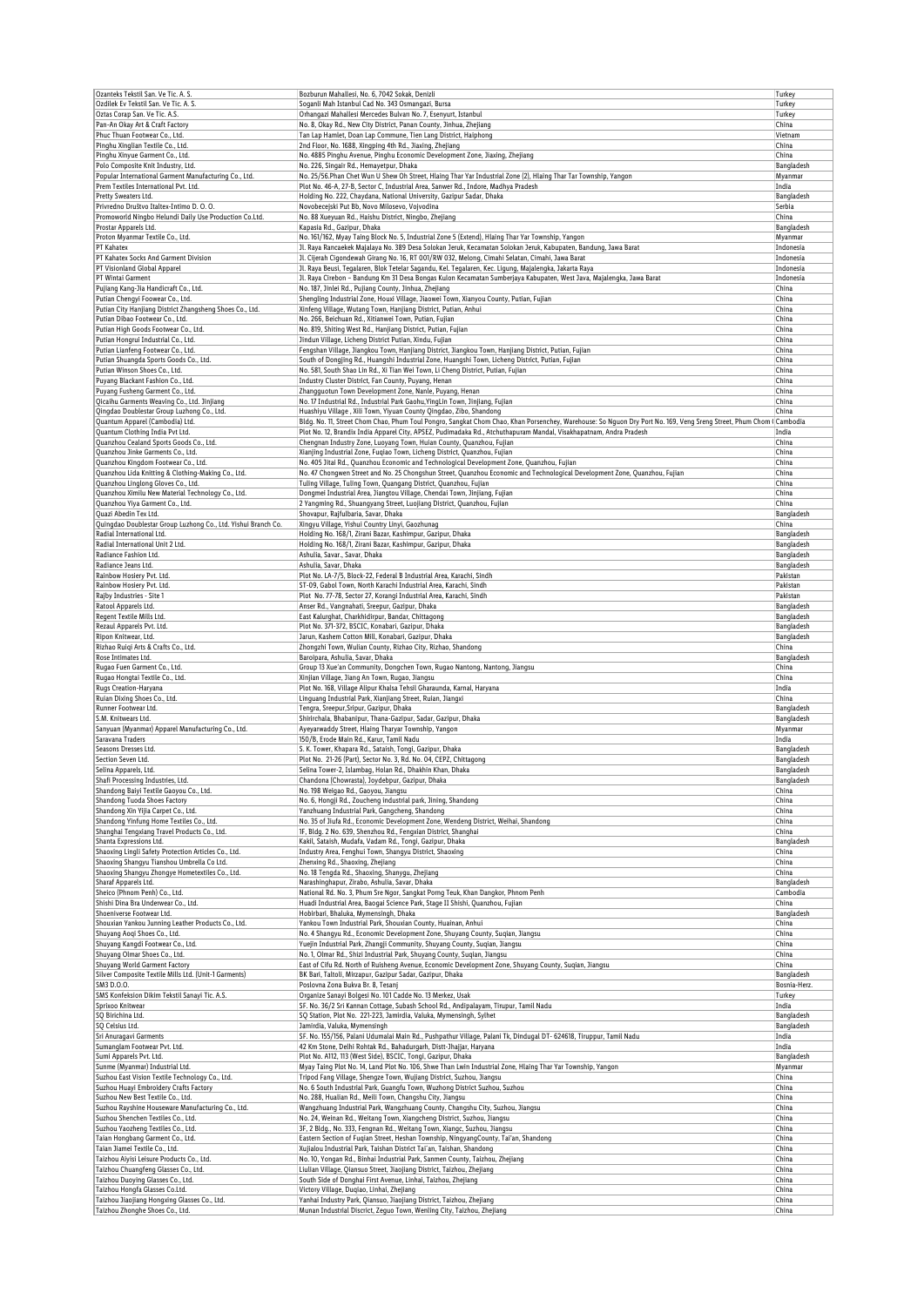| Ozanteks Tekstil San. Ve Tic. A. S.                                                       |                                                                                                                                                                    |                     |
|-------------------------------------------------------------------------------------------|--------------------------------------------------------------------------------------------------------------------------------------------------------------------|---------------------|
|                                                                                           | Bozburun Mahallesi, No. 6, 7042 Sokak, Denizli                                                                                                                     | Turkey              |
| Ozdilek Ev Tekstil San. Ve Tic. A. S.                                                     | Soganli Mah Istanbul Cad No. 343 Osmangazi, Bursa                                                                                                                  | Turkey              |
| Oztas Corap San. Ve Tic. A.S.                                                             | Orhangazi Mahallesi Mercedes Bulvarı No. 7, Esenyurt, Istanbul                                                                                                     | Turkey              |
| Pan-An Okay Art & Craft Factory                                                           | No. 8, Okay Rd., New City District, Panan County, Jinhua, Zhejiang                                                                                                 | China               |
| Phuc Thuan Footwear Co., Ltd.                                                             | Tan Lap Hamlet, Doan Lap Commune, Tien Lang District, Haiphong                                                                                                     | Vietnam             |
| Pinghu Xinglian Textile Co., Ltd.                                                         | 2nd Floor, No. 1688, Xingping 4th Rd., Jiaxing, Zhejiang                                                                                                           | China               |
| Pinghu Xinyue Garment Co., Ltd.                                                           | No. 4885 Pinghu Avenue, Pinghu Economic Development Zone, Jiaxing, Zhejiang                                                                                        | China               |
| Polo Composite Knit Industry, Ltd.                                                        | No. 226, Singair Rd., Hemayetpur, Dhaka                                                                                                                            | Bangladesh          |
| Popular International Garment Manufacturing Co., Ltd.                                     | No. 25/56.Phan Chet Wun U Shew Oh Street, Hlaing Thar Yar Industrial Zone (2), Hlaing Thar Tar Township, Yangon                                                    | Myanmar             |
| Prem Textiles International Pvt. Ltd.                                                     | Plot No. 46-A, 27-B, Sector C, Industrial Area, Sanwer Rd., Indore, Madhya Pradesh                                                                                 | India               |
| Pretty Sweaters Ltd.                                                                      | Holding No. 222, Chaydana, National University, Gazipur Sadar, Dhaka                                                                                               | Bangladesh          |
| Privredno Društvo Italtex-Intimo D. O. O.                                                 | Novobecejski Put Bb, Novo Milosevo, Vojvodina                                                                                                                      | Serbia              |
| Promoworld Ningbo Helundi Daily Use Production Co.Ltd.                                    | No. 88 Xueyuan Rd., Haishu District, Ningbo, Zhejiang                                                                                                              | China               |
| Prostar Apparels Ltd.                                                                     | Kapasia Rd., Gazipur, Dhaka                                                                                                                                        | Bangladesh          |
| Proton Myanmar Textile Co., Ltd.                                                          | No. 161/162, Myay Taing Block No. 5, Industrial Zone 5 (Extend), Hlaing Thar Yar Township, Yangon                                                                  | Myanmar             |
| PT Kahatex                                                                                | Jl. Raya Rancaekek Majalaya No. 389 Desa Solokan Jeruk, Kecamatan Solokan Jeruk, Kabupaten, Bandung, Jawa Barat                                                    | Indonesia           |
| PT Kahatex Socks And Garment Division                                                     | Jl. Cijerah Cigondewah Girang No. 16, RT 001/RW 032, Melong, Cimahi Selatan, Cimahi, Jawa Barat                                                                    | Indonesia           |
| PT Visionland Global Apparel                                                              | Jl. Raya Beusi, Tegalaren, Blok Tetelar Sagandu, Kel. Tegalaren, Kec. Ligung, Majalengka, Jakarta Raya                                                             | Indonesia           |
| PT Wintai Garment                                                                         | Jl. Raya Cirebon – Bandung Km 31 Desa Bongas Kulon Kecamatan Sumberjaya Kabupaten, West Java, Majalengka, Jawa Barat                                               | Indonesia           |
|                                                                                           | No. 187, Jinlei Rd., Pujiang County, Jinhua, Zhejiang                                                                                                              |                     |
| Pujiang Kang-Jia Handicraft Co., Ltd.                                                     |                                                                                                                                                                    | China               |
| Putian Chengyi Foowear Co., Ltd.                                                          | Shengling Industrial Zone, Houxi Village, Jiaowei Town, Xianyou County, Putian, Fujian                                                                             | China               |
| Putian City Hanjiang District Zhangsheng Shoes Co., Ltd.                                  | Xinfeng Village, Wutang Town, Hanjiang District, Putian, Anhui                                                                                                     | China               |
| Putian Dibao Footwear Co., Ltd.                                                           | No. 266, Beichuan Rd., Xitianwei Town, Putian, Fujian                                                                                                              | China               |
| Putian High Goods Footwear Co., Ltd.                                                      | No. 819, Shiting West Rd., Hanjiang District, Putian, Fujian                                                                                                       | China               |
| Putian Hongrui Industrial Co., Ltd.                                                       | Jindun Village, Licheng District Putian, Xindu, Fujian                                                                                                             | China               |
| Putian Lianfeng Footwear Co., Ltd.                                                        | Fengshan Village, Jiangkou Town, Hanjiang District, Jiangkou Town, Hanjiang District, Putian, Fujian                                                               | China               |
| Putian Shuangda Sports Goods Co., Ltd.                                                    | South of Dongjing Rd., Huangshi Industrial Zone, Huangshi Town, Licheng District, Putian, Fujian                                                                   | China               |
| Putian Winson Shoes Co., Ltd.                                                             | No. 581, South Shao Lin Rd., Xi Tian Wei Town, Li Cheng District, Putian, Fujian                                                                                   | China               |
| Puyang Blackant Fashion Co., Ltd.                                                         | Industry Cluster District, Fan County, Puyang, Henan                                                                                                               | China               |
| Puyang Fusheng Garment Co., Ltd.                                                          | Zhangguotun Town Development Zone, Nanle, Puyang, Henan                                                                                                            | China               |
| Qicaihu Garments Weaving Co., Ltd. Jinjiang                                               | No. 17 Industrial Rd., Industrial Park Gaohu, YingLin Town, Jinjiang, Fujian                                                                                       | China               |
| Qingdao Doublestar Group Luzhong Co., Ltd.                                                | Huashiyu Village, Xili Town, Yiyuan County Qingdao, Zibo, Shandong                                                                                                 | China               |
| Quantum Apparel (Cambodia) Ltd.                                                           | Bldg. No. 11, Street Chom Chao, Phum Toul Pongro, Sangkat Chom Chao, Khan Porsenchey, Warehouse: So Nguon Dry Port No. 169, Veng Sreng Street, Phum Chom (Cambodia |                     |
|                                                                                           |                                                                                                                                                                    | India               |
| Quantum Clothing India Pvt Ltd.<br>Quanzhou Cealand Sports Goods Co., Ltd.                | Plot No. 12, Brandix India Apparel City, APSEZ, Pudimadaka Rd., Atchuthapuram Mandal, Visakhapatnam, Andra Pradesh                                                 |                     |
|                                                                                           | Chengnan Industry Zone, Luoyang Town, Huian County, Quanzhou, Fujian                                                                                               | China               |
| Quanzhou Jinke Garments Co., Ltd.                                                         | Xianjing Industrial Zone, Fuqiao Town, Licheng District, Quanzhou, Fujian                                                                                          | China               |
| Quanzhou Kingdom Footwear Co., Ltd.                                                       | No. 405 Jitai Rd., Quanzhou Economic and Technological Development Zone, Quanzhou, Fujian                                                                          | China               |
| Quanzhou Lida Knitting & Clothing-Making Co., Ltd.                                        | No. 47 Chonqwen Street and No. 25 Chongshun Street, Quanzhou Economic and Technological Development Zone, Quanzhou, Fujian                                         | China               |
| Quanzhou Linglong Gloves Co., Ltd.                                                        | Tuling Village, Tuling Town, Quangang District, Quanzhou, Fujian                                                                                                   | China               |
| Quanzhou Ximilu New Material Technology Co., Ltd.                                         | Dongmei Industrial Area, Jiangtou Village, Chendai Town, Jinjiang, Fujian                                                                                          | China               |
| Quanzhou Yiya Garment Co., Ltd.                                                           | 2 Yangming Rd., Shuangyang Street, Luojiang District, Quanzhou, Fujian                                                                                             | China               |
| Quazi Abedin Tex Ltd.                                                                     | Shovapur, Rajfulbaria, Savar, Dhaka                                                                                                                                | Bangladesh          |
| Quingdao Doublestar Group Luzhong Co., Ltd. Yishui Branch Co.                             | Xingyu Village, Yishui Country Linyi, Gaozhunag                                                                                                                    | China               |
| Radial International Ltd.                                                                 | Holding No. 168/1, Zirani Bazar, Kashimpur, Gazipur, Dhaka                                                                                                         | Bangladesh          |
| Radial International Unit 2 Ltd.                                                          | Holding No. 168/1, Zirani Bazar, Kashimpur, Gazipur, Dhaka                                                                                                         | Bangladesh          |
| Radiance Fashion Ltd.                                                                     | Ashulia, Savar., Savar, Dhaka                                                                                                                                      | Bangladesh          |
| Radiance Jeans Ltd.                                                                       | Ashulia, Savar, Dhaka                                                                                                                                              | Bangladesh          |
| Rainbow Hosiery Pvt. Ltd.                                                                 | Plot No. LA-7/5, Block-22, Federal B Industrial Area, Karachi, Sindh                                                                                               | Pakistan            |
| Rainbow Hosiery Pvt. Ltd.                                                                 | ST-09, Gabol Town, North Karachi Industrial Area, Karachi, Sindh                                                                                                   | Pakistan            |
|                                                                                           |                                                                                                                                                                    |                     |
| Rajby Industries - Site 1                                                                 | Plot No. 77-78, Sector 27, Korangi Industrial Area, Karachi, Sindh                                                                                                 | Pakistan            |
| Ratool Apparels Ltd.                                                                      | Anser Rd., Vangnahati, Sreepur, Gazipur, Dhaka                                                                                                                     | Bangladesh          |
| Regent Textile Mills Ltd.                                                                 | East Kalurghat, Charkhidirpur, Bandar, Chittagong                                                                                                                  | Bangladesh          |
| Rezaul Apparels Pvt. Ltd.                                                                 | Plot No. 371-372, BSCIC, Konabari, Gazipur, Dhaka                                                                                                                  | Bangladesh          |
| Ripon Knitwear, Ltd.                                                                      | Jarun, Kashem Cotton Mill, Konabari, Gazipur, Dhaka                                                                                                                | Bangladesh          |
| Rizhao Ruigi Arts & Crafts Co., Ltd.                                                      | Zhongzhi Town, Wulian County, Rizhao City, Rizhao, Shandong                                                                                                        | China               |
| Rose Intimates Ltd.                                                                       | Baroipara, Ashulia, Savar, Dhaka                                                                                                                                   | Bangladesh          |
| Rugao Fuen Garment Co., Ltd.                                                              | Group 13 Xue'an Community, Dongchen Town, Rugao Nantong, Nantong, Jiangsu                                                                                          | China               |
|                                                                                           | Xinjian Village, Jiang An Town, Rugao, Jiangsu                                                                                                                     | China               |
|                                                                                           |                                                                                                                                                                    |                     |
| Rugao Hongtai Textile Co., Ltd.                                                           |                                                                                                                                                                    |                     |
| Rugs Creation-Haryana                                                                     | Plot No. 168, Village Alipur Khalsa Tehsil Gharaunda, Karnal, Haryana                                                                                              | India               |
| Ruian Dixing Shoes Co., Ltd.                                                              | Linguang Industrial Park, Xianjiang Street, Ruian, Jiangxi                                                                                                         | China               |
| Runner Footwear Ltd.                                                                      | Tengra, Sreepur, Sripur, Gazipur, Dhaka                                                                                                                            | Bangladesh          |
| S.M. Knitwears Ltd.                                                                       | Shirirchala, Bhabanipur, Thana-Gazipur, Sadar, Gazipur, Dhaka                                                                                                      | Bangladesh          |
| Sanyuan (Myanmar) Apparel Manufacturing Co., Ltd.                                         | Ayeyarwaddy Street, Hlaing Tharyar Township, Yangon                                                                                                                | Myanmar             |
| Saravana Traders                                                                          | 150/B, Erode Main Rd., Karur, Tamil Nadu                                                                                                                           | India               |
| Seasons Dresses Ltd.                                                                      | S. K. Tower, Khapara Rd., Sataish, Tongi, Gazipur, Dhaka                                                                                                           | Bangladesh          |
| Section Seven Ltd.                                                                        | Plot No. 21-26 (Part), Sector No. 3, Rd. No. 04, CEPZ, Chittagong                                                                                                  | Bangladesh          |
| Selina Apparels, Ltd.                                                                     | Selina Tower-2, Islambag, Holan Rd., Dhakhin Khan, Dhaka                                                                                                           | Bangladesh          |
|                                                                                           | Chandona (Chowrasta), Joydebpur, Gazipur, Dhaka                                                                                                                    | Bangladesh          |
| Shandong Baiyi Textile Gaoyou Co., Ltd.                                                   | No. 198 Weigao Rd., Gaoyou, Jiangsu                                                                                                                                | China               |
| Shandong Tuoda Shoes Factory                                                              | No. 6, Hongji Rd., Zoucheng industrial park, Jining, Shandong                                                                                                      | China               |
| Shandong Xin Yijia Carpet Co., Ltd.                                                       | Yanzhuang Industrial Park, Gangcheng, Shandong                                                                                                                     | China               |
| Shandong Yinfung Home Textiles Co., Ltd.                                                  | No. 35 of Jiufa Rd., Economic Development Zone, Wendeng District, Weihai, Shandong                                                                                 | China               |
| Shanghai Tengxiang Travel Products Co., Ltd.                                              | 1F, Bldg. 2 No. 639, Shenzhou Rd., Fengxian District, Shanghai                                                                                                     | China               |
| Shanta Expressions Ltd.                                                                   | Kakil, Sataish, Mudafa, Vadam Rd., Tongi, Gazipur, Dhaka                                                                                                           | Bangladesh          |
| Shafi Processing Industries, Ltd.<br>Shaoxing Lingli Safety Protection Articles Co., Ltd. | Industry Area, Fenghui Town, Shangyu District, Shaoxing                                                                                                            | China               |
| Shaoxing Shangyu Tianshou Umbrella Co Ltd.                                                | Zhenxing Rd., Shaoxing, Zhejiang                                                                                                                                   | China               |
| Shaoxing Shangyu Zhongye Hometextiles Co., Ltd.                                           | No. 18 Tengda Rd., Shaoxing, Shanygu, Zhejiang                                                                                                                     | China               |
| Sharaf Apparels Ltd.                                                                      | Narashinghapur, Zirabo, Ashulia, Savar, Dhaka                                                                                                                      | Bangladesh          |
| Sheico (Phnom Penh) Co., Ltd.                                                             | National Rd. No. 3, Phum Sre Ngor, Sangkat Porng Teuk, Khan Dangkor, Phnom Penh                                                                                    | Cambodia            |
| Shishi Dina Bra Underwear Co., Ltd.                                                       | Huadi Industrial Area, Baogai Science Park, Stage II Shishi, Quanzhou, Fujian                                                                                      | China               |
| Shoeniverse Footwear Ltd.                                                                 | Hobirbari, Bhaluka, Mymensingh, Dhaka                                                                                                                              |                     |
| Shouxian Yankou Junning Leather Products Co., Ltd.                                        | Yankou Town Industrial Park, Shouxian County, Huainan, Anhui                                                                                                       | Bangladesh<br>China |
|                                                                                           |                                                                                                                                                                    |                     |
| Shuyang Aogi Shoes Co., Ltd.                                                              | No. 4 Shangyu Rd., Economic Development Zone, Shuyang County, Suqian, Jiangsu                                                                                      | China               |
| Shuyang Kangdi Footwear Co., Ltd.                                                         | Yuejin Industrial Park, Zhangji Community, Shuyang County, Suqian, Jiangsu                                                                                         | China               |
| Shuyang Olmar Shoes Co., Ltd.                                                             | No. 1, Olmar Rd., Shizi Industrial Park, Shuyang County, Suqian, Jiangsu                                                                                           | China               |
| Shuyang World Garment Factory                                                             | East of Cifu Rd. North of Ruisheng Avenue, Economic Development Zone, Shuyang County, Suqian, Jiangsu                                                              | China               |
| Silver Composite Textile Mills Ltd. (Unit-1 Garments)                                     | BK Bari, Taltoli, Mirzapur, Gazipur Sadar, Gazipur, Dhaka                                                                                                          | Bangladesh          |
| SM3 D.O.O.                                                                                | Poslovna Zona Bukva Br. 8, Tesanj                                                                                                                                  | Bosnia-Herz.        |
| SMS Konfeksion Dikim Tekstil Sanayi Tic. A.S.                                             | Organize Sanayi Bolgesi No. 101 Cadde No. 13 Merkez, Usak                                                                                                          | Turkey              |
| Sprixoo Knitwear                                                                          | SF. No. 36/2 Sri Kannan Cottage, Subash School Rd., Andipalayam, Tirupur, Tamil Nadu                                                                               | India               |
| SQ Birichina Ltd.                                                                         | SQ Station, Plot No. 221-223, Jamirdia, Valuka, Mymensingh, Sylhet                                                                                                 | Bangladesh          |
| SQ Celsius Ltd.                                                                           | Jamirdia, Valuka, Mymensingh                                                                                                                                       | Bangladesh          |
| Sri Anuragavi Garments                                                                    | SF. No. 155/156, Palani Udumalai Main Rd., Pushpathur Village, Palani Tk, Dindugal DT- 624618, Tiruppur, Tamil Nadu                                                | India               |
| Sumanglam Footwear Pvt. Ltd.                                                              | 42 Km Stone, Delhi Rohtak Rd., Bahadurgarh, Distt-Jhajjar, Haryana                                                                                                 | India               |
| Sumi Apparels Pvt. Ltd.                                                                   | Plot No. A112, 113 (West Side), BSCIC, Tongi, Gazipur, Dhaka                                                                                                       | Bangladesh          |
| Sunme (Myanmar) Industrial Ltd.                                                           | Myay Taing Plot No. 14, Land Plot No. 106, Shwe Than Lwin Industrial Zone, Hlaing Thar Yar Township, Yangon                                                        | Myanmar             |
| Suzhou East Vision Textile Technology Co., Ltd.                                           | Tripod Fang Village, Shengze Town, Wujiang District, Suzhou, Jiangsu                                                                                               | China               |
| Suzhou Huayi Embroidery Crafts Factory                                                    | No. 6 South Industrial Park, Guangfu Town, Wuzhong District Suzhou, Suzhou                                                                                         | China               |
|                                                                                           |                                                                                                                                                                    |                     |
| Suzhou New Best Textile Co., Ltd.                                                         | No. 288, Hualian Rd., Meili Town, Changshu City, Jiangsu                                                                                                           | China               |
| Suzhou Rayshine Houseware Manufacturing Co., Ltd.                                         | Wangzhuang Industrial Park, Wangzhuang County, Changshu City, Suzhou, Jiangsu                                                                                      | China               |
| Suzhou Shenchen Textiles Co., Ltd.                                                        | No. 24, Weinan Rd., Weitang Town, Xiangcheng District, Suzhou, Jiangsu                                                                                             | China               |
| Suzhou Yaozheng Textiles Co., Ltd.                                                        | 3F, 2 Bldg., No. 333, Fengnan Rd., Weitang Town, Xiangc, Suzhou, Jiangsu                                                                                           | China               |
| Taian Hongbang Garment Co., Ltd.                                                          | Eastern Section of Fuqian Street, Heshan Township, NingyangCounty, Tai'an, Shandong                                                                                | China               |
| Taian Jiamei Textile Co., Ltd.                                                            | Xujialou Industrial Park, Taishan District Tai'an, Taishan, Shandong                                                                                               | China               |
| Taizhou Aiyisi Leisure Products Co., Ltd.                                                 | No. 10, Yongan Rd., Binhai Industrial Park, Sanmen County, Taizhou, Zhejiang                                                                                       | China               |
| Taizhou Chuangfeng Glasses Co., Ltd.                                                      | Liulian Village, Qiansuo Street, Jiaojiang District, Taizhou, Zhejiang                                                                                             | China               |
| Taizhou Duoying Glasses Co., Ltd.                                                         | South Side of Donghai First Avenue, Linhai, Taizhou, Zhejiang                                                                                                      | China               |
| Taizhou Hongfa Glasses Co.Ltd.                                                            | Victory Village, Dugiao, Linhai, Zhejiang                                                                                                                          | China               |
| Taizhou Jiaojiang Hongxing Glasses Co., Ltd.<br>Taizhou Zhonghe Shoes Co., Ltd.           | Yanhai Industry Park, Qiansuo, Jiaojiang District, Taizhou, Zhejiang<br>Munan Industrial Discrict, Zeguo Town, Wenling City, Taizhou, Zhejiang                     | China<br>China      |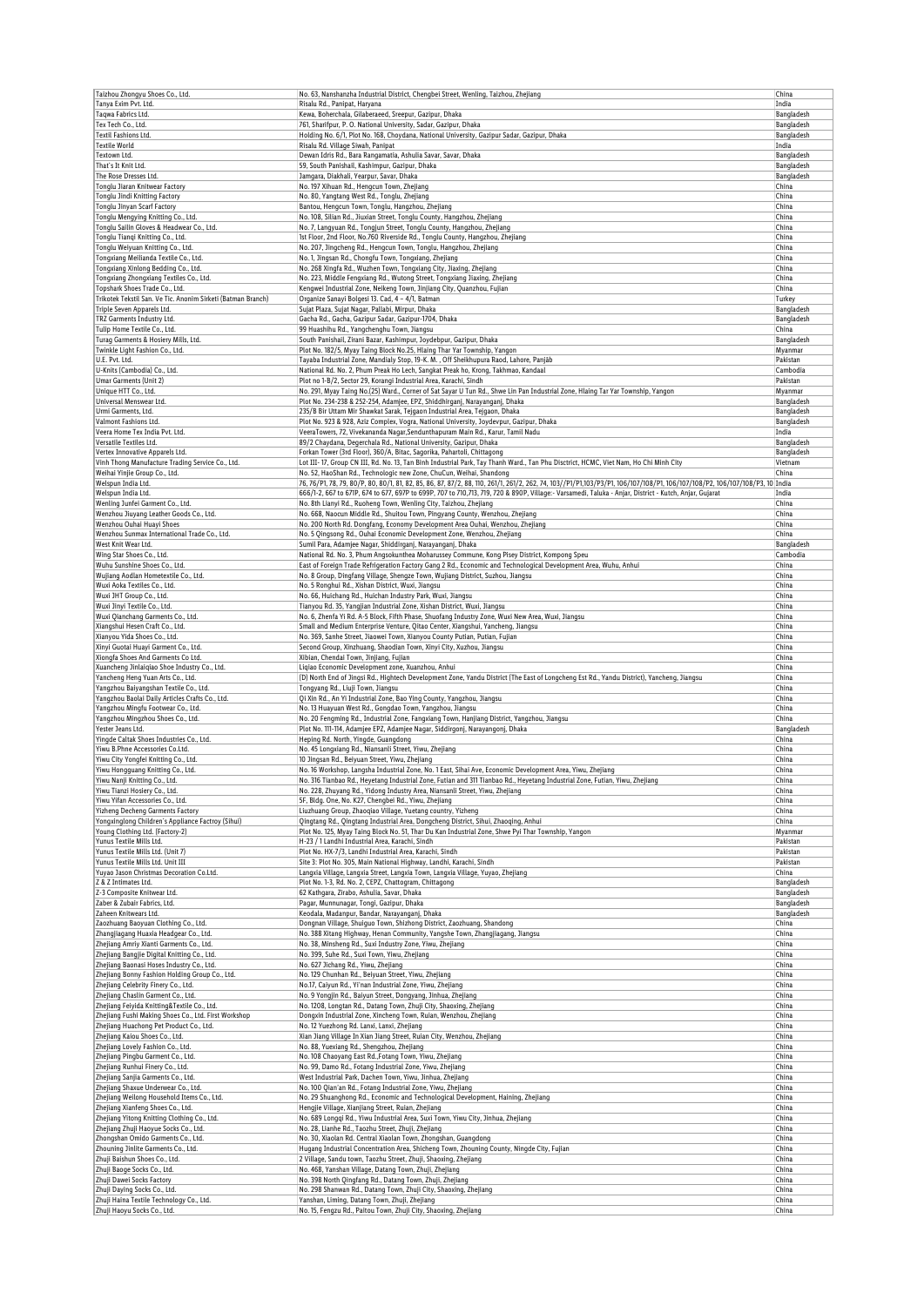| Taizhou Zhongyu Shoes Co., Ltd.                                                     | No. 63, Nanshanzha Industrial District, Chengbei Street, Wenling, Taizhou, Zhejiang                                                                                                                                   | China                    |
|-------------------------------------------------------------------------------------|-----------------------------------------------------------------------------------------------------------------------------------------------------------------------------------------------------------------------|--------------------------|
| Tanya Exim Pvt. Ltd.                                                                | Risalu Rd., Panipat, Haryana                                                                                                                                                                                          | India                    |
| Taqwa Fabrics Ltd.                                                                  | Kewa, Boherchala, Gilaberaeed, Sreepur, Gazipur, Dhaka                                                                                                                                                                | Bangladesh               |
| Tex Tech Co., Ltd.                                                                  | 761, Sharifpur, P. O. National University, Sadar, Gazipur, Dhaka                                                                                                                                                      | Bangladesh               |
| Textil Fashions Ltd.                                                                | Holding No. 6/1, Plot No. 168, Choydana, National University, Gazipur Sadar, Gazipur, Dhaka                                                                                                                           | Bangladesh               |
| <b>Textile World</b>                                                                | Risalu Rd. Village Siwah, Panipat                                                                                                                                                                                     | India                    |
| Textown Ltd.<br>That's It Knit Ltd.                                                 | Dewan Idris Rd., Bara Rangamatia, Ashulia Savar, Savar, Dhaka<br>59, South Panishail, Kashimpur, Gazipur, Dhaka                                                                                                       | Bangladesh               |
| The Rose Dresses Ltd.                                                               | Jamgara, Diakhali, Yearpur, Savar, Dhaka                                                                                                                                                                              | Bangladesh<br>Bangladesh |
| Tonglu Jiaran Knitwear Factory                                                      | No. 197 Xihuan Rd., Hengcun Town, Zhejiang                                                                                                                                                                            | China                    |
| Tonglu Jindi Knitting Factory                                                       | No. 80, Yangtang West Rd., Tonglu, Zhejiang                                                                                                                                                                           | China                    |
| Tonglu Jinyan Scarf Factory                                                         | Bantou, Hengcun Town, Tonglu, Hangzhou, Zhejiang                                                                                                                                                                      | China                    |
| Tonglu Mengying Knitting Co., Ltd.                                                  | No. 108, Silian Rd., Jiuxian Street, Tonglu County, Hangzhou, Zhejiang                                                                                                                                                | China                    |
| Tonglu Sailin Gloves & Headwear Co., Ltd.                                           | No. 7, Langyuan Rd., Tongjun Street, Tonglu County, Hangzhou, Zhejiang                                                                                                                                                | China                    |
| Tonglu Tiangi Knitting Co., Ltd.                                                    | 1st Floor, 2nd Floor, No.760 Riverside Rd., Tonglu County, Hangzhou, Zhejiang                                                                                                                                         | China                    |
| Tonglu Weiyuan Knitting Co., Ltd.                                                   | No. 207, Jingcheng Rd., Hengcun Town, Tonglu, Hangzhou, Zhejiang                                                                                                                                                      | China                    |
| Tongxiang Meilianda Textile Co., Ltd.                                               | No. 1, Jingsan Rd., Chongfu Town, Tongxiang, Zhejiang                                                                                                                                                                 | China                    |
| Tongxiang Xinlong Bedding Co., Ltd.                                                 | No. 268 Xingfa Rd., Wuzhen Town, Tongxiang City, Jiaxing, Zhejiang                                                                                                                                                    | China                    |
| Tongxiang Zhongxiang Textiles Co., Ltd.                                             | No. 223, Middle Fengxiang Rd., Wutong Street, Tongxiang Jiaxing, Zhejiang                                                                                                                                             | China                    |
| Topshark Shoes Trade Co., Ltd.                                                      | Kenqwei Industrial Zone, Neikeng Town, Jinjiang City, Quanzhou, Fujian                                                                                                                                                | China                    |
| Trikotek Tekstil San. Ve Tic. Anonim Sirketi (Batman Branch)                        | Organize Sanayi Bolgesi 13. Cad, 4 - 4/1, Batman                                                                                                                                                                      | Turkey                   |
| Triple Seven Apparels Ltd.                                                          | Sujat Plaza, Sujat Nagar, Pallabi, Mirpur, Dhaka                                                                                                                                                                      | Bangladesh               |
| TRZ Garments Industry Ltd<br>Tulip Home Textile Co., Ltd.                           | Gacha Rd., Gacha, Gazipur Sadar, Gazipur-1704, Dhaka<br>99 Huashihu Rd., Yangchenghu Town, Jiangsu                                                                                                                    | Bangladesh<br>China      |
| Turag Garments & Hosiery Mills, Ltd.                                                | South Panishail, Zirani Bazar, Kashimpur, Joydebpur, Gazipur, Dhaka                                                                                                                                                   | Bangladesh               |
| Twinkle Light Fashion Co., Ltd.                                                     | Plot No. 182/5, Myay Taing Block No.25, Hlaing Thar Yar Township, Yangon                                                                                                                                              | Myanmar                  |
| U.E. Pvt. Ltd.                                                                      | Tayaba Industrial Zone, Mandialy Stop, 19-K. M., Off Sheikhupura Raod, Lahore, Panjāb                                                                                                                                 | Pakistan                 |
| U-Knits (Cambodia) Co., Ltd.                                                        | National Rd. No. 2, Phum Preak Ho Lech, Sangkat Preak ho, Krong, Takhmao, Kandaal                                                                                                                                     | Cambodia                 |
| Umar Garments (Unit 2)                                                              | Plot no 1-B/2, Sector 29, Korangi Industrial Area, Karachi, Sindh                                                                                                                                                     | Pakistan                 |
| Unique HTT Co., Ltd.                                                                | No. 291, Myay Taing No.(25) Ward., Corner of Sat Sayar U Tun Rd., Shwe Lin Pan Industrial Zone, Hlaing Tar Yar Township, Yangon                                                                                       | Myanmar                  |
| Universal Menswear Ltd.                                                             | Plot No. 234-238 & 252-254, Adamjee, EPZ, Shiddhirganj, Narayanganj, Dhaka                                                                                                                                            | Bangladesh               |
| Urmi Garments, Ltd.                                                                 | 235/B Bir Uttam Mir Shawkat Sarak, Tejgaon Industrial Area, Tejgaon, Dhaka                                                                                                                                            | Bangladesh               |
| Valmont Fashions Ltd.                                                               | Plot No. 923 & 928, Aziz Complex, Vogra, National University, Joydevpur, Gazipur, Dhaka                                                                                                                               | Bangladesh               |
| Veera Home Tex India Pvt. Ltd.                                                      | VeeraTowers, 72, Vivekananda Nagar, Sendunthapuram Main Rd., Karur, Tamil Nadu                                                                                                                                        | India                    |
| Versatile Textiles Ltd.                                                             | 89/2 Chaydana, Degerchala Rd., National University, Gazipur, Dhaka                                                                                                                                                    | Bangladesh               |
| Vertex Innovative Apparels Ltd.<br>Vinh Thong Manufacture Trading Service Co., Ltd. | Forkan Tower (3rd Floor), 360/A, Bitac, Sagorika, Pahartoli, Chittagong<br>Lot III- 17, Group CN III, Rd. No. 13, Tan Binh Industrial Park, Tay Thanh Ward., Tan Phu Disctrict, HCMC, Viet Nam, Ho Chi Minh City      | Bangladesh<br>Vietnam    |
| Weihai Yinjie Group Co., Ltd.                                                       | No. 52, HaoShan Rd., Technologic new Zone, ChuCun, Weihai, Shandong                                                                                                                                                   | China                    |
| Welspun India Ltd.                                                                  | 76, 76/P1, 78, 79, 80/P, 80, 80/1, 81, 82, 85, 86, 87, 87/2, 88, 110, 261/1, 261/2, 262, 74, 103//P1/P1,103/P3/P1, 106/107/108/P1, 106/107/108/P2, 106/107/108/P2, 100/107/108/P2, 100/107/108/P2, 109/107/108/P2, 10 |                          |
| Welspun India Ltd.                                                                  | 666/1-2, 667 to 671P, 674 to 677, 697P to 699P, 707 to 710,713, 719, 720 & 890P, Village: - Varsamedi, Taluka - Anjar, District - Kutch, Anjar, Gujarat                                                               | India                    |
| Wenling Junfei Garment Co., Ltd.                                                    | No. 8th Lianyi Rd., Ruoheng Town, Wenling City, Taizhou, Zhejiang                                                                                                                                                     | China                    |
| Wenzhou Jiuyang Leather Goods Co., Ltd.                                             | No. 668, Naocun Middle Rd., Shuitou Town, Pingyang County, Wenzhou, Zhejiang                                                                                                                                          | China                    |
| Wenzhou Ouhai Huavi Shoes                                                           | No. 200 North Rd. Dongfang, Economy Development Area Ouhai, Wenzhou, Zhejiang                                                                                                                                         | China                    |
| Wenzhou Sunmax International Trade Co., Ltd.                                        | No. 5 Qingsong Rd., Ouhai Economic Development Zone, Wenzhou, Zhejiang                                                                                                                                                | China                    |
| West Knit Wear Ltd.                                                                 | Sumil Para, Adamjee Nagar, Shiddirganj, Narayanganj, Dhaka                                                                                                                                                            | Bangladesh               |
| Wing Star Shoes Co., Ltd.                                                           | National Rd. No. 3, Phum Angsokunthea Moharussey Commune, Kong Pisey District, Kompong Speu                                                                                                                           | Cambodia                 |
| Wuhu Sunshine Shoes Co., Ltd.                                                       | East of Foreign Trade Refrigeration Factory Gang 2 Rd., Economic and Technological Development Area, Wuhu, Anhui                                                                                                      | China                    |
| Wujiang Aodlan Hometextile Co., Ltd.                                                | No. 8 Group, Dingfang Village, Shengze Town, Wujiang District, Suzhou, Jiangsu                                                                                                                                        | China                    |
| Wuxi Aoka Textiles Co., Ltd.                                                        | No. 5 Ronghui Rd., Xishan District, Wuxi, Jiangsu                                                                                                                                                                     | China                    |
| Wuxi JHT Group Co., Ltd<br>Wuxi Jinyi Textile Co., Ltd.                             | No. 66, Huichang Rd., Huichan Industry Park, Wuxi, Jiangsu<br>Tianyou Rd. 35, Yangjian Industrial Zone, Xishan District, Wuxi, Jiangsu                                                                                | China<br>China           |
| Wuxi Qianchang Garments Co., Ltd.                                                   | No. 6, Zhenfa Yi Rd. A-5 Block, Fifth Phase, Shuofang Industry Zone, Wuxi New Area, Wuxi, Jiangsu                                                                                                                     | China                    |
| Xiangshui Hesen Craft Co., Ltd.                                                     | Small and Medium Enterprise Venture, Qitao Center, Xiangshui, Yancheng, Jiangsu                                                                                                                                       | China                    |
| Xianyou Yida Shoes Co., Ltd.                                                        | No. 369, Sanhe Street, Jiaowei Town, Xianyou County Putian, Putian, Fujian                                                                                                                                            | China                    |
| Xinyi Guotai Huayi Garment Co., Ltd.                                                | Second Group, Xinzhuang, Shaodian Town, Xinyi City, Xuzhou, Jiangsu                                                                                                                                                   | China                    |
| Xiongfa Shoes And Garments Co Ltd.                                                  | Xibian, Chendai Town, Jinjiang, Fujian                                                                                                                                                                                | China                    |
| Xuancheng Jinlaiqiao Shoe Industry Co., Ltd.                                        | Ligiao Economic Development zone, Xuanzhou, Anhui                                                                                                                                                                     | China                    |
| Yancheng Heng Yuan Arts Co., Ltd.                                                   | (D) North End of Jingsi Rd., Hightech Development Zone, Yandu District (The East of Longcheng Est Rd., Yandu District), Yancheng, Jiangsu                                                                             | China                    |
| Yangzhou Baiyangshan Textile Co., Ltd.                                              | Tongyang Rd., Liuji Town, Jiangsu                                                                                                                                                                                     | China                    |
| Yangzhou Baolai Daily Articles Crafts Co., Ltd.                                     | Qi Xin Rd., An Yi Industrial Zone, Bao Ying County, Yangzhou, Jiangsu                                                                                                                                                 | China                    |
| Yangzhou Mingfu Footwear Co., Ltd.                                                  | No. 13 Huayuan West Rd., Gongdao Town, Yangzhou, Jiangsu                                                                                                                                                              | China                    |
| Yangzhou Mingzhou Shoes Co., Ltd.                                                   | No. 20 Fengming Rd., Industrial Zone, Fangxiang Town, Hanjiang District, Yangzhou, Jiangsu                                                                                                                            | China                    |
| Yester Jeans Ltd.                                                                   | Plot No. 111-114, Adamjee EPZ, Adamjee Nagar, Siddirgonj, Narayangonj, Dhaka<br>Heping Rd. North, Yingde, Guangdong                                                                                                   | Bangladesh               |
| Yingde Caltak Shoes Industries Co., Ltd.<br>Yiwu B.Phne Accessories Co.Ltd.         | No. 45 Longxiang Rd., Niansanli Street, Yiwu, Zhejiang                                                                                                                                                                | China<br>China           |
| Yiwu City Yongfei Knitting Co., Ltd                                                 | 10 Jingsan Rd., Beiyuan Street, Yiwu, Zhejiang                                                                                                                                                                        | China                    |
| Yiwu Hongguang Knitting Co., Ltd.                                                   | No. 16 Workshop, Langsha Industrial Zone, No. 1 East, Sihai Ave, Economic Development Area, Yiwu, Zhejiang                                                                                                            | China                    |
| Yiwu Nanji Knitting Co., Ltd.                                                       | No. 316 Tianbao Rd., Heyetang Industrial Zone, Futian and 311 Tianbao Rd., Heyetang Industrial Zone, Futian, Yiwu, Zhejiang                                                                                           | China                    |
|                                                                                     |                                                                                                                                                                                                                       |                          |
|                                                                                     |                                                                                                                                                                                                                       |                          |
| Yiwu Tianzi Hosiery Co., Ltd.<br>Yiwu Yifan Accessories Co., Ltd.                   | No. 228, Zhuyang Rd., Yidong Industry Area, Niansanli Street, Yiwu, Zhejiang<br>5F, Bldg. One, No. K27, Chengbei Rd., Yiwu, Zhejiang                                                                                  | China<br>China           |
| <b>Yizheng Decheng Garments Factory</b>                                             | Liuzhuang Group, Zhaoqiao Village, Yuetang country, Yizheng                                                                                                                                                           | China                    |
| Yongxinglong Children's Appliance Factroy (Sihui)                                   | Qingtang Rd., Qingtang Industrial Area, Dongcheng District, Sihui, Zhaoqing, Anhui                                                                                                                                    | China                    |
| Young Clothing Ltd. (Factory-2)                                                     | Plot No. 125, Myay Taing Block No. 51, Thar Du Kan Industrial Zone, Shwe Pyi Thar Township, Yangon                                                                                                                    | Myanmar                  |
| Yunus Textile Mills Ltd.                                                            | H-23 / 1 Landhi Industrial Area, Karachi, Sindh                                                                                                                                                                       | Pakistan                 |
| Yunus Textile Mills Ltd. (Unit 7)                                                   | Plot No. HX-7/3, Landhi Industrial Area, Karachi, Sindh                                                                                                                                                               | Pakistan                 |
| Yunus Textile Mills Ltd. Unit III                                                   | Site 3: Plot No. 305, Main National Highway, Landhi, Karachi, Sindh                                                                                                                                                   | Pakistan                 |
| Yuyao Jason Christmas Decoration Co.Ltd.                                            | Langxia Village, Langxia Street, Langxia Town, Langxia Village, Yuyao, Zhejiang                                                                                                                                       | China                    |
|                                                                                     | Plot No. 1-3, Rd. No. 2, CEPZ, Chattogram, Chittagong                                                                                                                                                                 | Bangladesh               |
| Z & Z Intimates Ltd.<br>Z-3 Composite Knitwear Ltd.                                 | 62 Kathqara, Zirabo, Ashulia, Savar, Dhaka                                                                                                                                                                            | Bangladesh               |
| Zaber & Zubair Fabrics, Ltd.                                                        | Pagar, Munnunagar, Tongi, Gazipur, Dhaka                                                                                                                                                                              | Bangladesh               |
| Zaheen Knitwears Ltd.<br>Zaozhuang Baoyuan Clothing Co., Ltd.                       | Keodala, Madanpur, Bandar, Narayanganj, Dhaka<br>Dongnan Village, Shuiquo Town, Shizhong District, Zaozhuang, Shandong                                                                                                | Bangladesh<br>China      |
| Zhangjiagang Huaxia Headgear Co., Ltd.                                              | No. 388 Xitang Highway, Henan Community, Yangshe Town, Zhangjiagang, Jiangsu                                                                                                                                          | China                    |
| Zhejiang Amriy Xianti Garments Co., Ltd.                                            | No. 38, Minsheng Rd., Suxi Industry Zone, Yiwu, Zhejiang                                                                                                                                                              | China                    |
| Zhejiang Bangjie Digital Knitting Co., Ltd.                                         | No. 399, Suhe Rd., Suxi Town, Yiwu, Zhejiang                                                                                                                                                                          | China                    |
| Zhejiang Baonasi Hoses Industry Co., Ltd.                                           | No. 627 Jichang Rd., Yiwu, Zhejiang                                                                                                                                                                                   | China                    |
| Zhejiang Bonny Fashion Holding Group Co., Ltd.                                      | No. 129 Chunhan Rd., Beiyuan Street, Yiwu, Zhejiang                                                                                                                                                                   | China                    |
|                                                                                     | No.17, Caiyun Rd., Yi'nan Industrial Zone, Yiwu, Zhejiang                                                                                                                                                             | China                    |
| Zhejiang Chaslin Garment Co., Ltd.                                                  | No. 9 Yongjin Rd., Baiyun Street, Dongyang, Jinhua, Zhejiang                                                                                                                                                          | China                    |
| Zhejiang Feiyida Knitting&Textile Co., Ltd.                                         | No. 1208, Longtan Rd., Datang Town, Zhuji City, Shaoxing, Zhejiang                                                                                                                                                    | China                    |
| Zhejiang Fushi Making Shoes Co., Ltd. First Workshop                                | Dongxin Industrial Zone, Xincheng Town, Ruian, Wenzhou, Zhejiang                                                                                                                                                      | China                    |
| Zhejiang Celebrity Finery Co., Ltd.<br>Zhejiang Huachong Pet Product Co., Ltd.      | No. 12 Yuezhong Rd. Lanxi, Lanxi, Zhejiang                                                                                                                                                                            | China                    |
| Zhejiang Kaiou Shoes Co., Ltd.                                                      | Xian Jiang Village In Xian Jiang Street, Ruian City, Wenzhou, Zhejiang                                                                                                                                                | China                    |
| Zhejiang Lovely Fashion Co., Ltd.                                                   | No. 88, Yuexiang Rd., Shengzhou, Zhejiang                                                                                                                                                                             | China                    |
| Zhejiang Pingbu Garment Co., Ltd.<br>Zhejiang Runhui Finery Co., Ltd.               | No. 108 Chaoyang East Rd., Fotang Town, Yiwu, Zhejiang<br>No. 99, Damo Rd., Fotang Industrial Zone, Yiwu, Zhejiang                                                                                                    | China<br>China           |
| Zhejiang Sanjia Garments Co., Ltd.                                                  | West Industrial Park, Dachen Town, Yiwu, Jinhua, Zhejiang                                                                                                                                                             | China                    |
| Zhejiang Shaxue Underwear Co., Ltd.                                                 | No. 100 Qian'an Rd., Fotang Industrial Zone, Yiwu, Zhejiang                                                                                                                                                           | China                    |
| Zhejiang Weilong Household Items Co., Ltd.                                          | No. 29 Shuanghong Rd., Economic and Technological Development, Haining, Zhejiang                                                                                                                                      | China                    |
| Zhejiang Xianfeng Shoes Co., Ltd.                                                   | Hengjie Village, Xianjiang Street, Ruian, Zhejiang                                                                                                                                                                    | China                    |
| Zhejiang Yitong Knitting Clothing Co., Ltd.                                         | No. 689 Longqi Rd., Yiwu Industrial Area, Suxi Town, Yiwu City, Jinhua, Zhejiang                                                                                                                                      | China                    |
| Zhejiang Zhuji Haoyue Socks Co., Ltd.                                               | No. 28, Lianhe Rd., Taozhu Street, Zhuji, Zhejiang                                                                                                                                                                    | China                    |
| Zhongshan Omido Garments Co., Ltd.                                                  | No. 30, Xiaolan Rd. Central Xiaolan Town, Zhongshan, Guangdong                                                                                                                                                        | China                    |
| Zhouning Jinlite Garments Co., Ltd.                                                 | Hugang Industrial Concentration Area, Shicheng Town, Zhouning County, Ningde City, Fujian                                                                                                                             | China                    |
| Zhuji Baishun Shoes Co., Ltd.                                                       | 2 Village, Sandu town, Taozhu Street, Zhuji, Shaoxing, Zhejiang                                                                                                                                                       | China                    |
| Zhuji Baoge Socks Co., Ltd.                                                         | No. 468, Yanshan Village, Datang Town, Zhuji, Zhejiang                                                                                                                                                                | China                    |
| Zhuji Dawei Socks Factory                                                           | No. 398 North Qingfang Rd., Datang Town, Zhuji, Zhejiang                                                                                                                                                              | China                    |
| Zhuji Daying Socks Co., Ltd.<br>Zhuji Haina Textile Technology Co., Ltd.            | No. 298 Shanwan Rd., Datang Town, Zhuji City, Shaoxing, Zhejiang<br>Yanshan, Liming, Datang Town, Zhuji, Zhejiang                                                                                                     | China<br>China           |